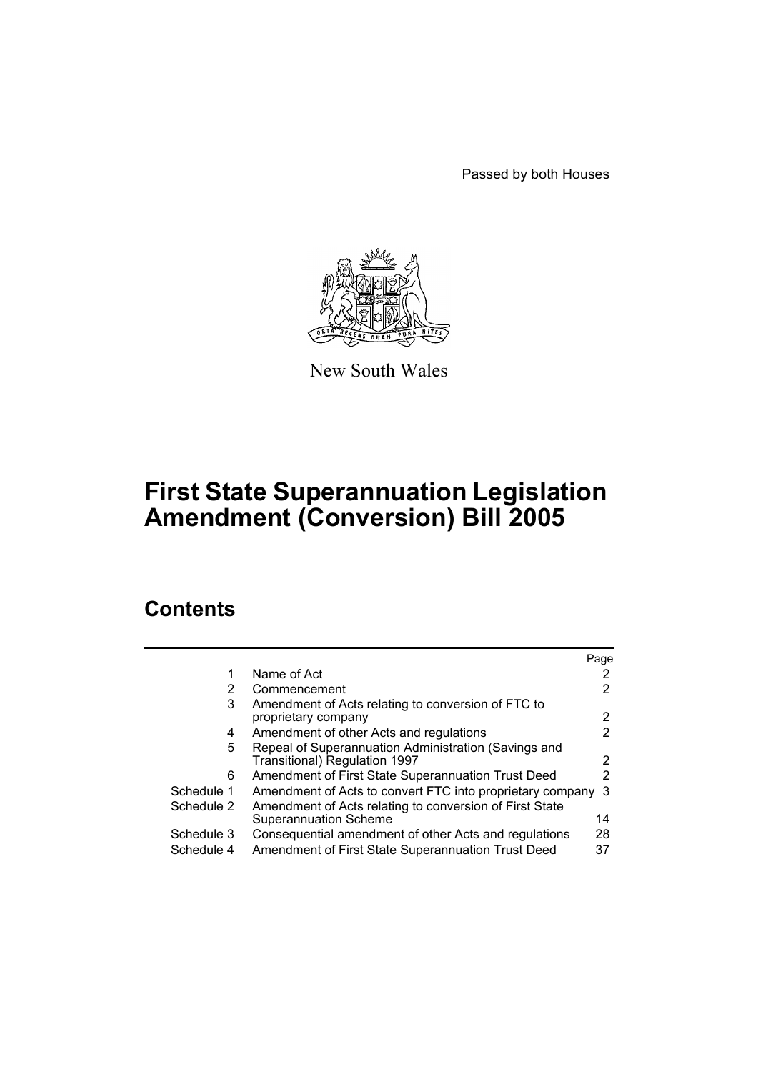Passed by both Houses



New South Wales

# **First State Superannuation Legislation Amendment (Conversion) Bill 2005**

# **Contents**

|                                                                                                | Page |
|------------------------------------------------------------------------------------------------|------|
| Name of Act                                                                                    |      |
| Commencement<br>2                                                                              |      |
| Amendment of Acts relating to conversion of FTC to<br>3<br>proprietary company                 | 2    |
| Amendment of other Acts and regulations<br>4                                                   | 2    |
| Repeal of Superannuation Administration (Savings and<br>5<br>Transitional) Regulation 1997     | 2    |
| Amendment of First State Superannuation Trust Deed<br>6                                        | 2    |
| Schedule 1<br>Amendment of Acts to convert FTC into proprietary company                        | -3   |
| Amendment of Acts relating to conversion of First State<br>Schedule 2<br>Superannuation Scheme | 14   |
| Schedule 3<br>Consequential amendment of other Acts and regulations                            | 28   |
| Amendment of First State Superannuation Trust Deed<br>Schedule 4                               | 37   |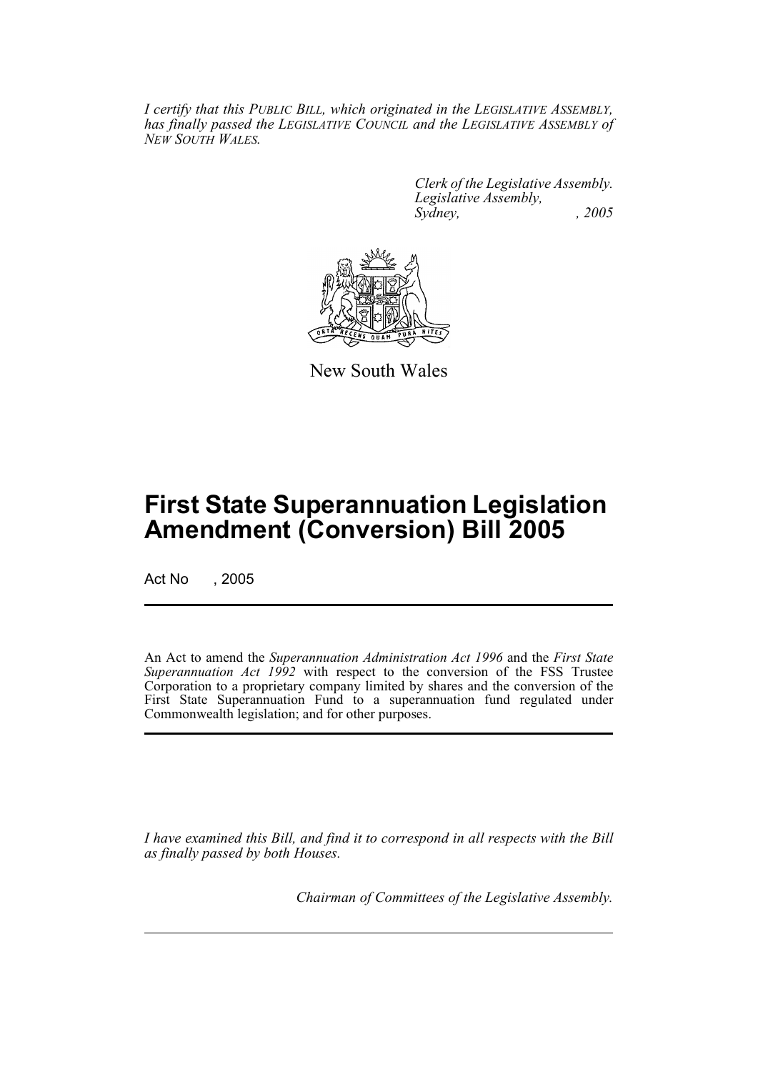*I certify that this PUBLIC BILL, which originated in the LEGISLATIVE ASSEMBLY, has finally passed the LEGISLATIVE COUNCIL and the LEGISLATIVE ASSEMBLY of NEW SOUTH WALES.*

> *Clerk of the Legislative Assembly. Legislative Assembly, Sydney, , 2005*



New South Wales

# **First State Superannuation Legislation Amendment (Conversion) Bill 2005**

Act No , 2005

An Act to amend the *Superannuation Administration Act 1996* and the *First State Superannuation Act 1992* with respect to the conversion of the FSS Trustee Corporation to a proprietary company limited by shares and the conversion of the First State Superannuation Fund to a superannuation fund regulated under Commonwealth legislation; and for other purposes.

*I have examined this Bill, and find it to correspond in all respects with the Bill as finally passed by both Houses.*

*Chairman of Committees of the Legislative Assembly.*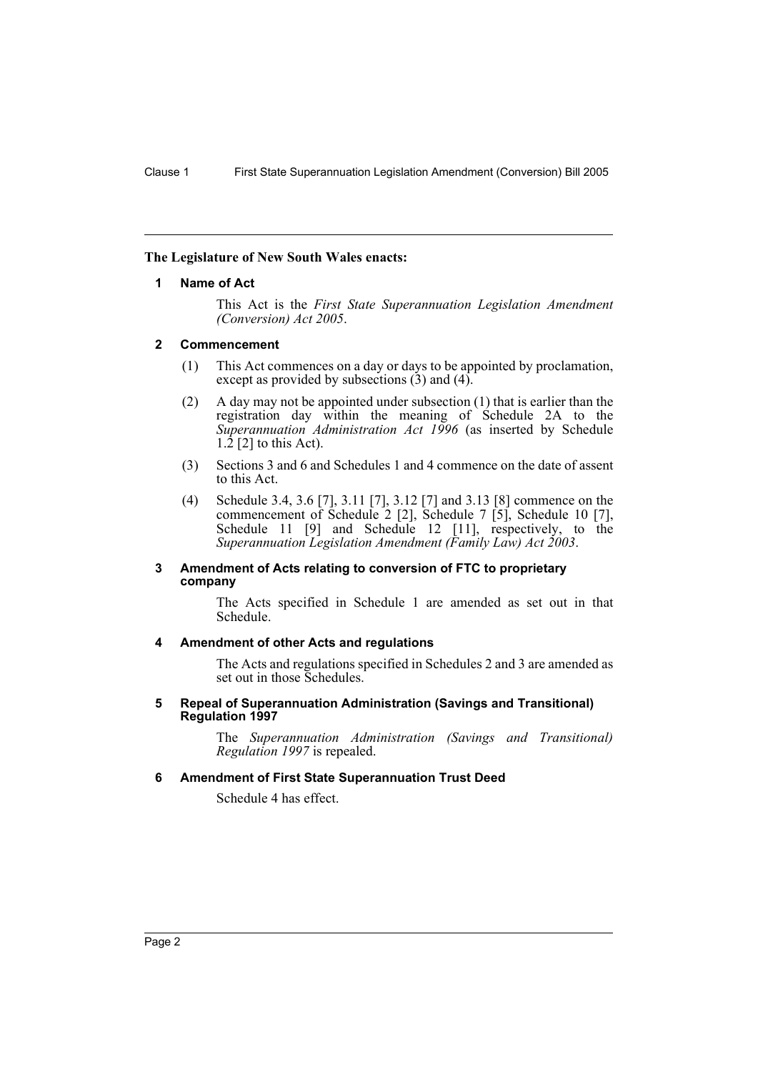## **The Legislature of New South Wales enacts:**

## **1 Name of Act**

This Act is the *First State Superannuation Legislation Amendment (Conversion) Act 2005*.

## **2 Commencement**

- (1) This Act commences on a day or days to be appointed by proclamation, except as provided by subsections  $(3)$  and  $(4)$ .
- (2) A day may not be appointed under subsection (1) that is earlier than the registration day within the meaning of Schedule 2A to the *Superannuation Administration Act 1996* (as inserted by Schedule  $1.\overline{2}$  [2] to this Act).
- (3) Sections 3 and 6 and Schedules 1 and 4 commence on the date of assent to this Act.
- (4) Schedule 3.4, 3.6 [7], 3.11 [7], 3.12 [7] and 3.13 [8] commence on the commencement of Schedule 2 [2], Schedule 7 [5], Schedule 10 [7], Schedule 11 [9] and Schedule 12 [11], respectively, to the *Superannuation Legislation Amendment (Family Law) Act 2003*.

## **3 Amendment of Acts relating to conversion of FTC to proprietary company**

The Acts specified in Schedule 1 are amended as set out in that Schedule.

# **4 Amendment of other Acts and regulations**

The Acts and regulations specified in Schedules 2 and 3 are amended as set out in those Schedules.

#### **5 Repeal of Superannuation Administration (Savings and Transitional) Regulation 1997**

The *Superannuation Administration (Savings and Transitional) Regulation 1997* is repealed.

# **6 Amendment of First State Superannuation Trust Deed**

Schedule 4 has effect.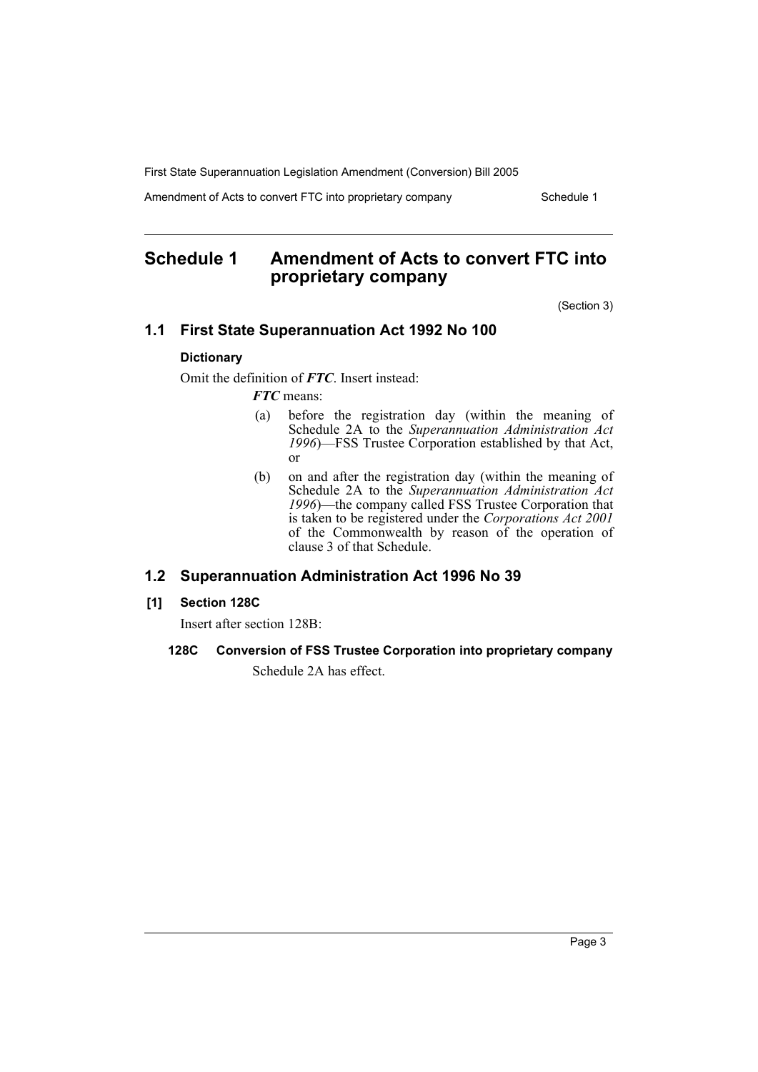Amendment of Acts to convert FTC into proprietary company Schedule 1

# **Schedule 1 Amendment of Acts to convert FTC into proprietary company**

(Section 3)

# **1.1 First State Superannuation Act 1992 No 100**

# **Dictionary**

Omit the definition of *FTC*. Insert instead:

*FTC* means:

- (a) before the registration day (within the meaning of Schedule 2A to the *Superannuation Administration Act 1996*)—FSS Trustee Corporation established by that Act, or
- (b) on and after the registration day (within the meaning of Schedule 2A to the *Superannuation Administration Act 1996*)—the company called FSS Trustee Corporation that is taken to be registered under the *Corporations Act 2001* of the Commonwealth by reason of the operation of clause 3 of that Schedule.

# **1.2 Superannuation Administration Act 1996 No 39**

# **[1] Section 128C**

Insert after section 128B:

# **128C Conversion of FSS Trustee Corporation into proprietary company**

Schedule 2A has effect.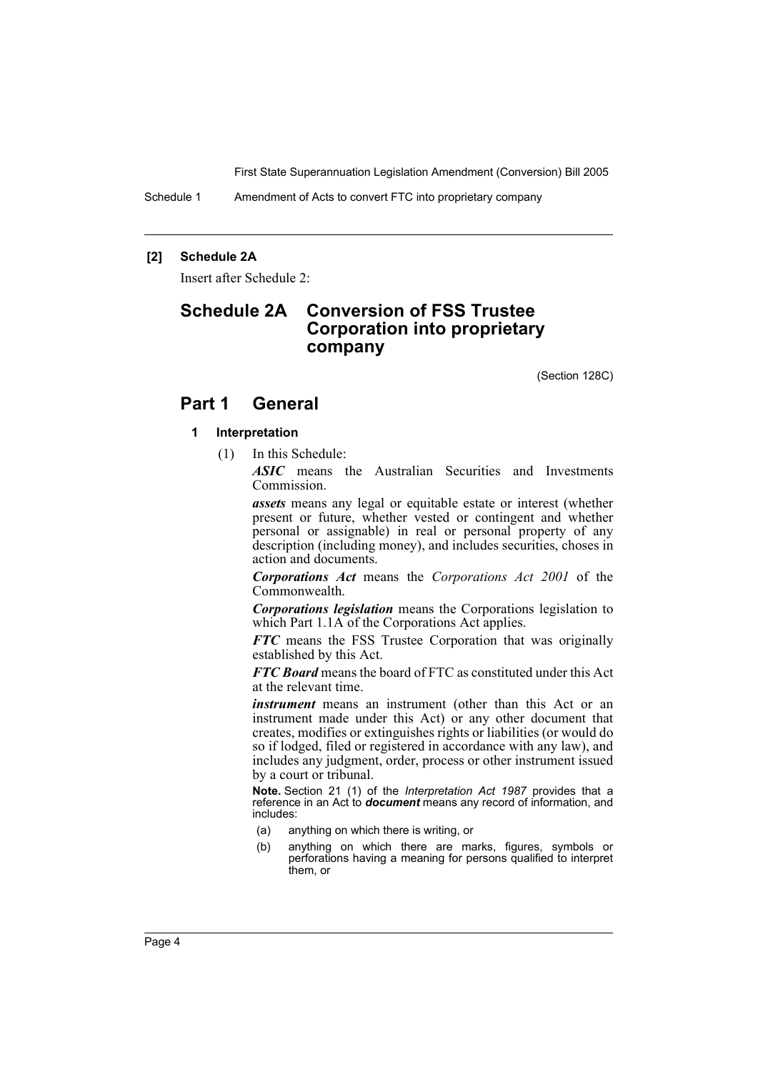Schedule 1 Amendment of Acts to convert FTC into proprietary company

## **[2] Schedule 2A**

Insert after Schedule 2:

# **Schedule 2A Conversion of FSS Trustee Corporation into proprietary company**

(Section 128C)

# **Part 1 General**

## **1 Interpretation**

(1) In this Schedule:

*ASIC* means the Australian Securities and Investments Commission.

*assets* means any legal or equitable estate or interest (whether present or future, whether vested or contingent and whether personal or assignable) in real or personal property of any description (including money), and includes securities, choses in action and documents.

*Corporations Act* means the *Corporations Act 2001* of the Commonwealth.

*Corporations legislation* means the Corporations legislation to which Part 1.1A of the Corporations Act applies.

*FTC* means the FSS Trustee Corporation that was originally established by this Act.

*FTC Board* means the board of FTC as constituted under this Act at the relevant time.

*instrument* means an instrument (other than this Act or an instrument made under this Act) or any other document that creates, modifies or extinguishes rights or liabilities (or would do so if lodged, filed or registered in accordance with any law), and includes any judgment, order, process or other instrument issued by a court or tribunal.

**Note.** Section 21 (1) of the *Interpretation Act 1987* provides that a reference in an Act to *document* means any record of information, and includes:

- (a) anything on which there is writing, or
- (b) anything on which there are marks, figures, symbols or perforations having a meaning for persons qualified to interpret them, or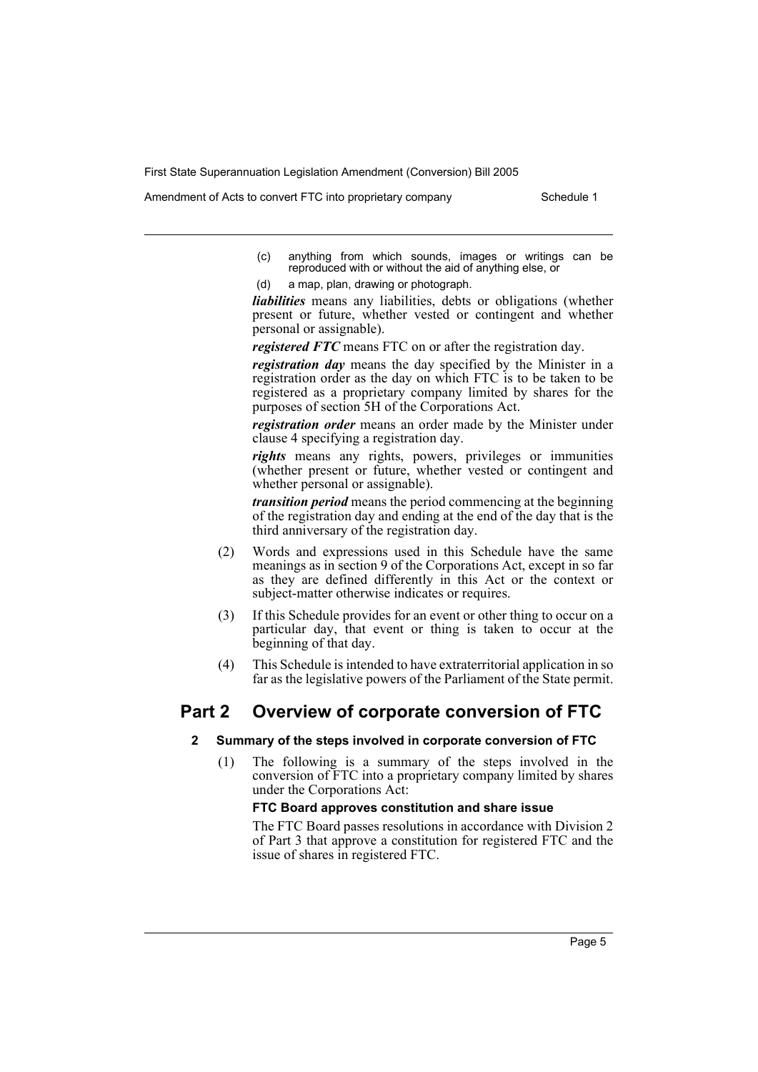Amendment of Acts to convert FTC into proprietary company Schedule 1

- (c) anything from which sounds, images or writings can be reproduced with or without the aid of anything else, or
- (d) a map, plan, drawing or photograph.

*liabilities* means any liabilities, debts or obligations (whether present or future, whether vested or contingent and whether personal or assignable).

*registered FTC* means FTC on or after the registration day.

*registration day* means the day specified by the Minister in a registration order as the day on which FTC is to be taken to be registered as a proprietary company limited by shares for the purposes of section 5H of the Corporations Act.

*registration order* means an order made by the Minister under clause 4 specifying a registration day.

*rights* means any rights, powers, privileges or immunities (whether present or future, whether vested or contingent and whether personal or assignable).

*transition period* means the period commencing at the beginning of the registration day and ending at the end of the day that is the third anniversary of the registration day.

- (2) Words and expressions used in this Schedule have the same meanings as in section 9 of the Corporations Act, except in so far as they are defined differently in this Act or the context or subject-matter otherwise indicates or requires.
- (3) If this Schedule provides for an event or other thing to occur on a particular day, that event or thing is taken to occur at the beginning of that day.
- (4) This Schedule is intended to have extraterritorial application in so far as the legislative powers of the Parliament of the State permit.

# **Part 2 Overview of corporate conversion of FTC**

#### **2 Summary of the steps involved in corporate conversion of FTC**

(1) The following is a summary of the steps involved in the conversion of FTC into a proprietary company limited by shares under the Corporations Act:

## **FTC Board approves constitution and share issue**

The FTC Board passes resolutions in accordance with Division 2 of Part 3 that approve a constitution for registered FTC and the issue of shares in registered FTC.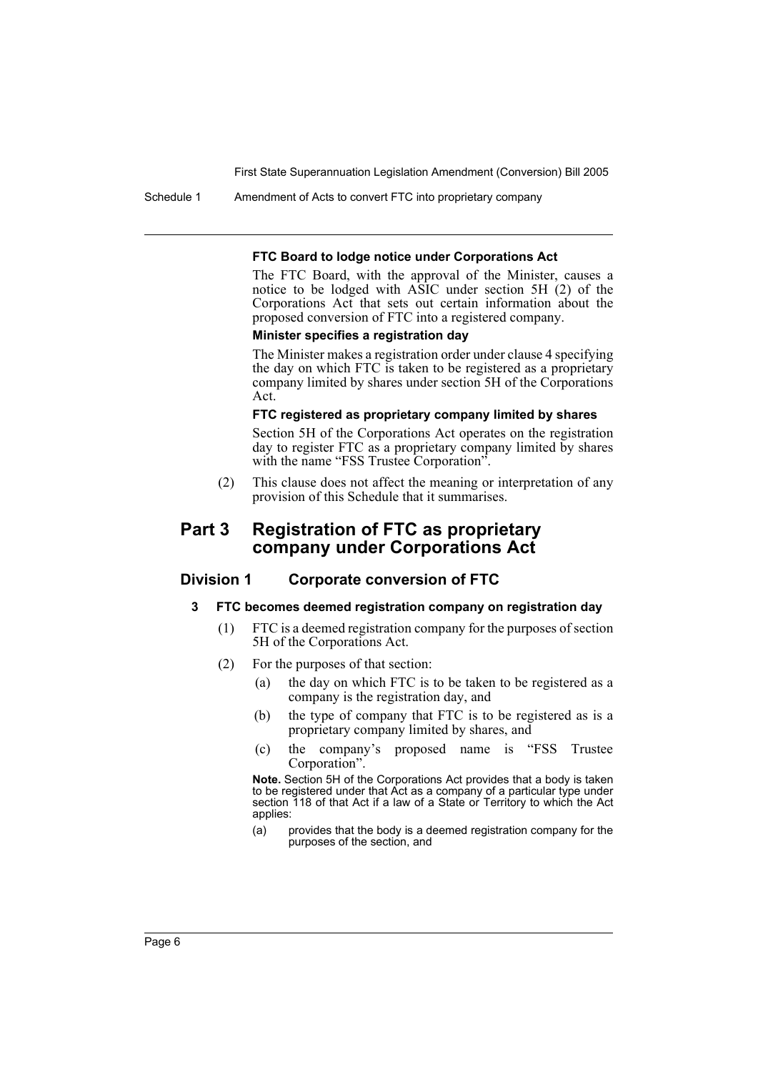Schedule 1 Amendment of Acts to convert FTC into proprietary company

#### **FTC Board to lodge notice under Corporations Act**

The FTC Board, with the approval of the Minister, causes a notice to be lodged with ASIC under section 5H (2) of the Corporations Act that sets out certain information about the proposed conversion of FTC into a registered company.

#### **Minister specifies a registration day**

The Minister makes a registration order under clause 4 specifying the day on which FTC is taken to be registered as a proprietary company limited by shares under section 5H of the Corporations Act.

#### **FTC registered as proprietary company limited by shares**

Section 5H of the Corporations Act operates on the registration day to register FTC as a proprietary company limited by shares with the name "FSS Trustee Corporation".

(2) This clause does not affect the meaning or interpretation of any provision of this Schedule that it summarises.

# **Part 3 Registration of FTC as proprietary company under Corporations Act**

# **Division 1 Corporate conversion of FTC**

### **3 FTC becomes deemed registration company on registration day**

- (1) FTC is a deemed registration company for the purposes of section 5H of the Corporations Act.
- (2) For the purposes of that section:
	- (a) the day on which FTC is to be taken to be registered as a company is the registration day, and
	- (b) the type of company that FTC is to be registered as is a proprietary company limited by shares, and
	- (c) the company's proposed name is "FSS Trustee Corporation".

**Note.** Section 5H of the Corporations Act provides that a body is taken to be registered under that Act as a company of a particular type under section 118 of that Act if a law of a State or Territory to which the Act applies:

(a) provides that the body is a deemed registration company for the purposes of the section, and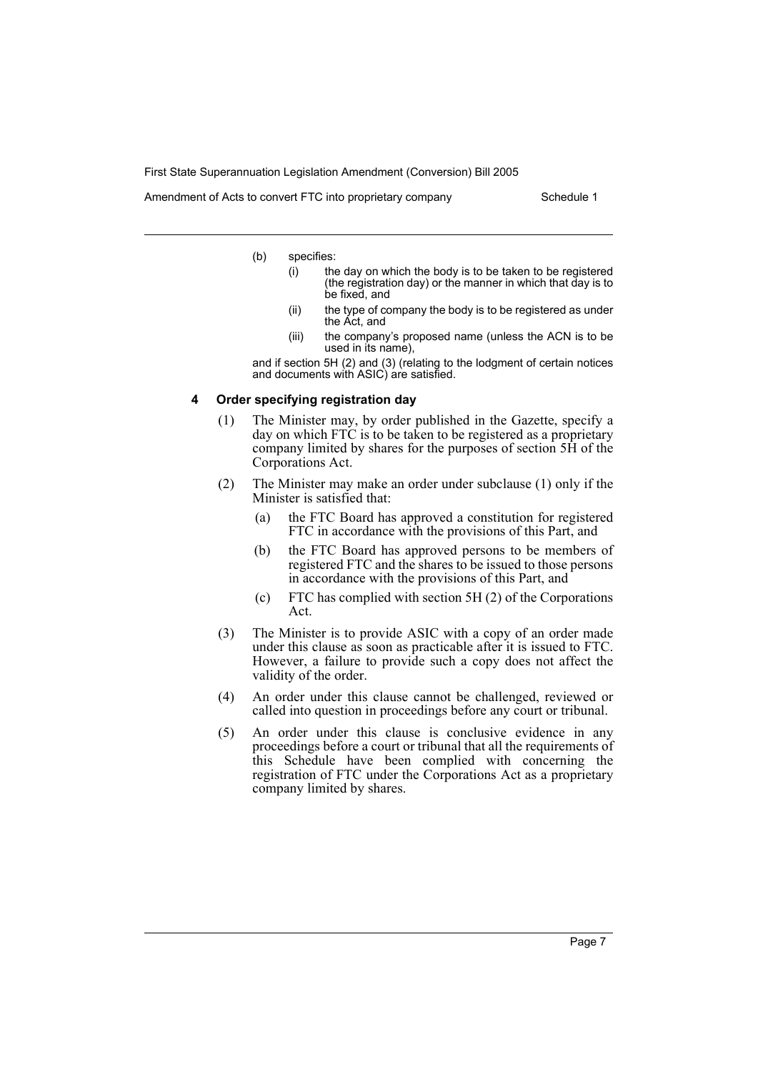Amendment of Acts to convert FTC into proprietary company Schedule 1

- (b) specifies:
	- (i) the day on which the body is to be taken to be registered (the registration day) or the manner in which that day is to be fixed, and
	- (ii) the type of company the body is to be registered as under the Act, and
	- (iii) the company's proposed name (unless the ACN is to be used in its name),

and if section 5H (2) and (3) (relating to the lodgment of certain notices and documents with ASIC) are satisfied.

#### **4 Order specifying registration day**

- (1) The Minister may, by order published in the Gazette, specify a day on which  $FT\check{C}$  is to be taken to be registered as a proprietary company limited by shares for the purposes of section 5H of the Corporations Act.
- (2) The Minister may make an order under subclause (1) only if the Minister is satisfied that:
	- (a) the FTC Board has approved a constitution for registered FTC in accordance with the provisions of this Part, and
	- (b) the FTC Board has approved persons to be members of registered FTC and the shares to be issued to those persons in accordance with the provisions of this Part, and
	- (c) FTC has complied with section 5H (2) of the Corporations Act.
- (3) The Minister is to provide ASIC with a copy of an order made under this clause as soon as practicable after it is issued to FTC. However, a failure to provide such a copy does not affect the validity of the order.
- (4) An order under this clause cannot be challenged, reviewed or called into question in proceedings before any court or tribunal.
- (5) An order under this clause is conclusive evidence in any proceedings before a court or tribunal that all the requirements of this Schedule have been complied with concerning the registration of FTC under the Corporations Act as a proprietary company limited by shares.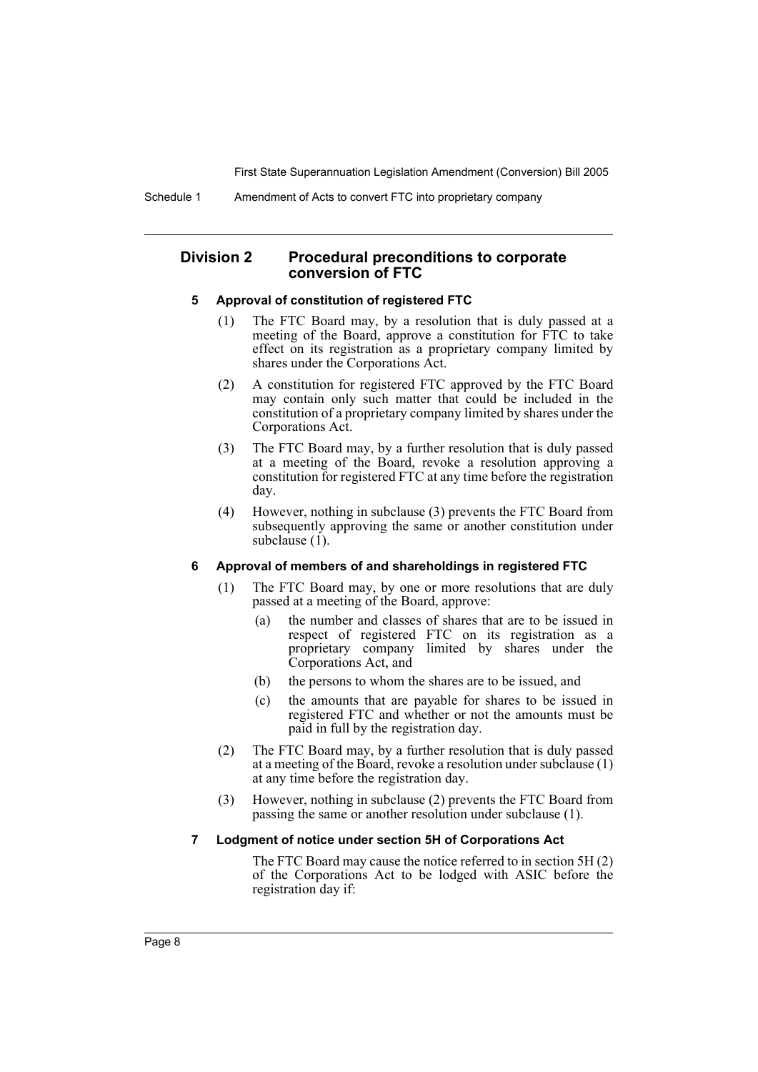Schedule 1 Amendment of Acts to convert FTC into proprietary company

# **Division 2 Procedural preconditions to corporate conversion of FTC**

#### **5 Approval of constitution of registered FTC**

- (1) The FTC Board may, by a resolution that is duly passed at a meeting of the Board, approve a constitution for FTC to take effect on its registration as a proprietary company limited by shares under the Corporations Act.
- (2) A constitution for registered FTC approved by the FTC Board may contain only such matter that could be included in the constitution of a proprietary company limited by shares under the Corporations Act.
- (3) The FTC Board may, by a further resolution that is duly passed at a meeting of the Board, revoke a resolution approving a constitution for registered FTC at any time before the registration day.
- (4) However, nothing in subclause (3) prevents the FTC Board from subsequently approving the same or another constitution under subclause  $(1)$ .

## **6 Approval of members of and shareholdings in registered FTC**

- (1) The FTC Board may, by one or more resolutions that are duly passed at a meeting of the Board, approve:
	- (a) the number and classes of shares that are to be issued in respect of registered FTC on its registration as a proprietary company limited by shares under the Corporations Act, and
	- (b) the persons to whom the shares are to be issued, and
	- (c) the amounts that are payable for shares to be issued in registered FTC and whether or not the amounts must be paid in full by the registration day.
- (2) The FTC Board may, by a further resolution that is duly passed at a meeting of the Board, revoke a resolution under subclause (1) at any time before the registration day.
- (3) However, nothing in subclause (2) prevents the FTC Board from passing the same or another resolution under subclause (1).

#### **7 Lodgment of notice under section 5H of Corporations Act**

The FTC Board may cause the notice referred to in section 5H (2) of the Corporations Act to be lodged with ASIC before the registration day if: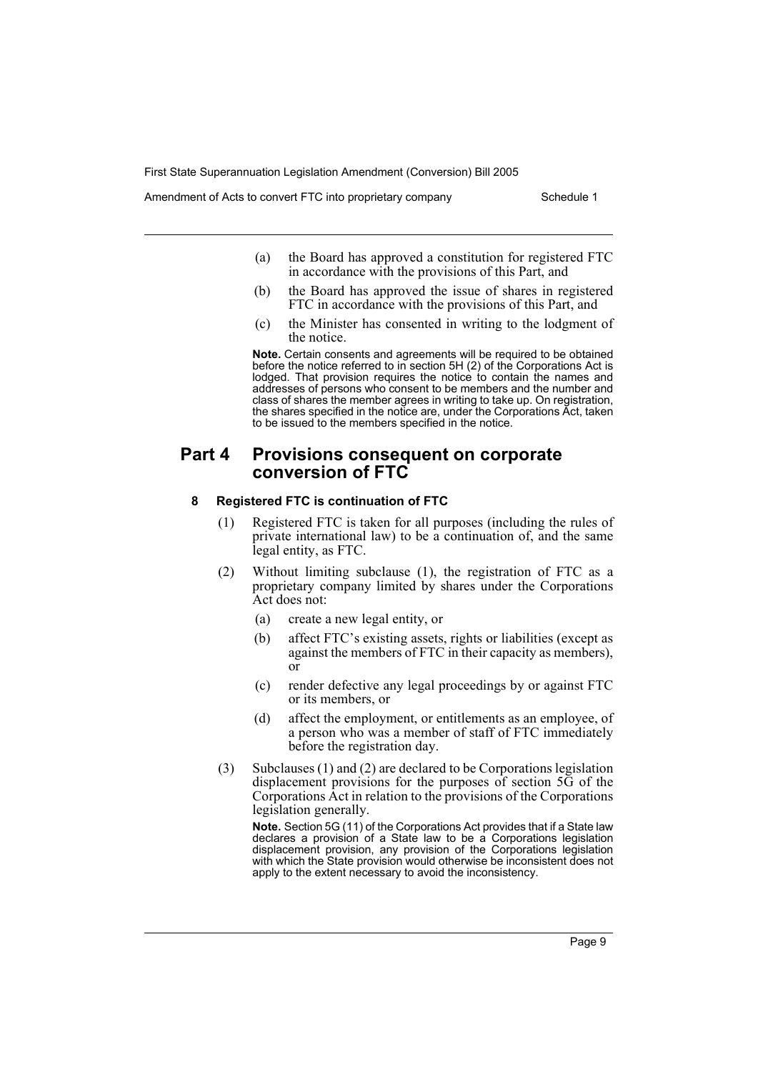Amendment of Acts to convert FTC into proprietary company Schedule 1

- (a) the Board has approved a constitution for registered FTC in accordance with the provisions of this Part, and
- (b) the Board has approved the issue of shares in registered FTC in accordance with the provisions of this Part, and
- (c) the Minister has consented in writing to the lodgment of the notice.

**Note.** Certain consents and agreements will be required to be obtained before the notice referred to in section 5H (2) of the Corporations Act is lodged. That provision requires the notice to contain the names and addresses of persons who consent to be members and the number and class of shares the member agrees in writing to take up. On registration, the shares specified in the notice are, under the Corporations Act, taken to be issued to the members specified in the notice.

# **Part 4 Provisions consequent on corporate conversion of FTC**

## **8 Registered FTC is continuation of FTC**

- (1) Registered FTC is taken for all purposes (including the rules of private international law) to be a continuation of, and the same legal entity, as FTC.
- (2) Without limiting subclause (1), the registration of FTC as a proprietary company limited by shares under the Corporations Act does not:
	- (a) create a new legal entity, or
	- (b) affect FTC's existing assets, rights or liabilities (except as against the members of FTC in their capacity as members), or
	- (c) render defective any legal proceedings by or against FTC or its members, or
	- (d) affect the employment, or entitlements as an employee, of a person who was a member of staff of FTC immediately before the registration day.
- (3) Subclauses (1) and (2) are declared to be Corporations legislation displacement provisions for the purposes of section 5G of the Corporations Act in relation to the provisions of the Corporations legislation generally.

**Note.** Section 5G (11) of the Corporations Act provides that if a State law declares a provision of a State law to be a Corporations legislation displacement provision, any provision of the Corporations legislation with which the State provision would otherwise be inconsistent does not apply to the extent necessary to avoid the inconsistency.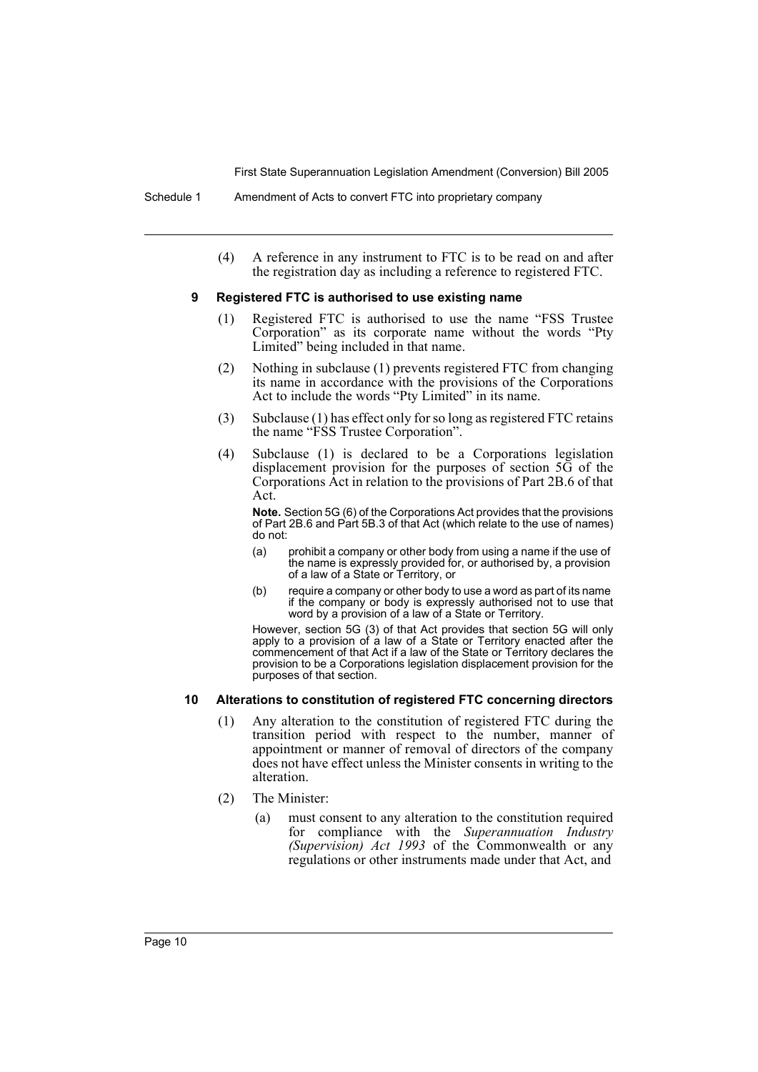(4) A reference in any instrument to FTC is to be read on and after the registration day as including a reference to registered FTC.

#### **9 Registered FTC is authorised to use existing name**

- (1) Registered FTC is authorised to use the name "FSS Trustee Corporation" as its corporate name without the words "Pty Limited" being included in that name.
- (2) Nothing in subclause (1) prevents registered FTC from changing its name in accordance with the provisions of the Corporations Act to include the words "Pty Limited" in its name.
- (3) Subclause (1) has effect only for so long as registered FTC retains the name "FSS Trustee Corporation".
- (4) Subclause (1) is declared to be a Corporations legislation displacement provision for the purposes of section 5G of the Corporations Act in relation to the provisions of Part 2B.6 of that Act.

**Note.** Section 5G (6) of the Corporations Act provides that the provisions of Part 2B.6 and Part 5B.3 of that Act (which relate to the use of names) do not:

- (a) prohibit a company or other body from using a name if the use of the name is expressly provided for, or authorised by, a provision of a law of a State or Territory, or
- (b) require a company or other body to use a word as part of its name if the company or body is expressly authorised not to use that word by a provision of a law of a State or Territory.

However, section 5G (3) of that Act provides that section 5G will only apply to a provision of a law of a State or Territory enacted after the commencement of that Act if a law of the State or Territory declares the provision to be a Corporations legislation displacement provision for the purposes of that section.

#### **10 Alterations to constitution of registered FTC concerning directors**

- (1) Any alteration to the constitution of registered FTC during the transition period with respect to the number, manner of appointment or manner of removal of directors of the company does not have effect unless the Minister consents in writing to the alteration.
- (2) The Minister:
	- (a) must consent to any alteration to the constitution required for compliance with the *Superannuation Industry (Supervision) Act 1993* of the Commonwealth or any regulations or other instruments made under that Act, and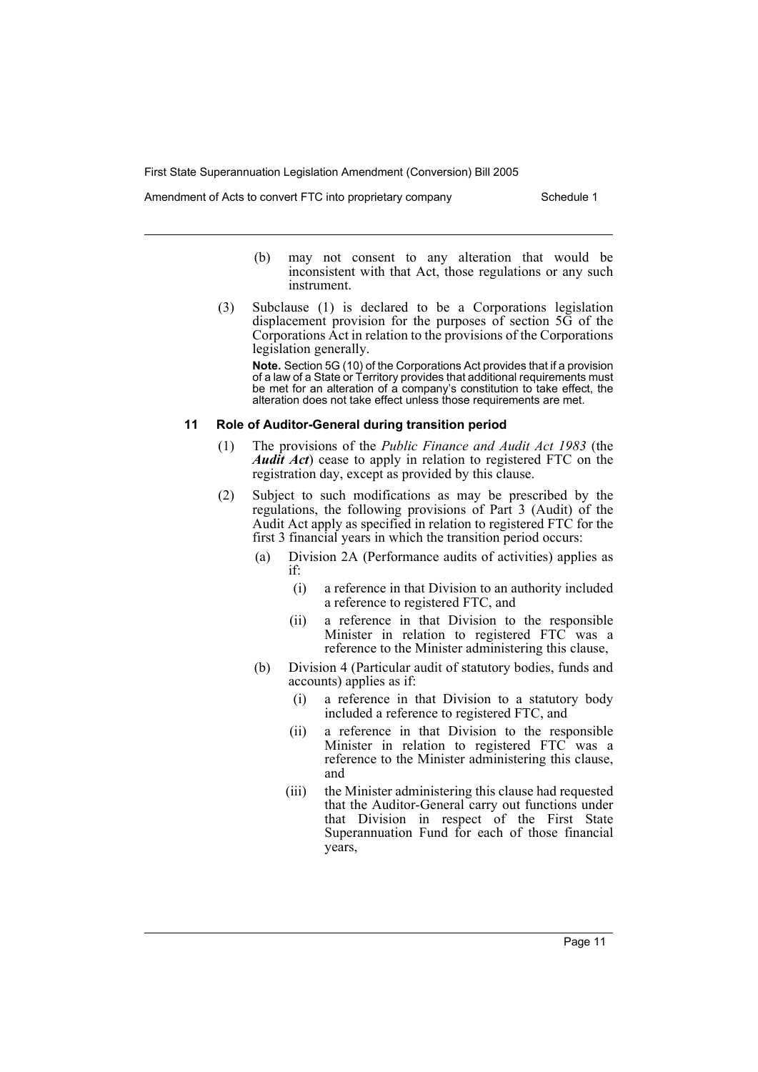Amendment of Acts to convert FTC into proprietary company Schedule 1

- (b) may not consent to any alteration that would be inconsistent with that Act, those regulations or any such instrument.
- (3) Subclause (1) is declared to be a Corporations legislation displacement provision for the purposes of section 5G of the Corporations Act in relation to the provisions of the Corporations legislation generally.

**Note.** Section 5G (10) of the Corporations Act provides that if a provision of a law of a State or Territory provides that additional requirements must be met for an alteration of a company's constitution to take effect, the alteration does not take effect unless those requirements are met.

### **11 Role of Auditor-General during transition period**

- (1) The provisions of the *Public Finance and Audit Act 1983* (the *Audit Act*) cease to apply in relation to registered FTC on the registration day, except as provided by this clause.
- (2) Subject to such modifications as may be prescribed by the regulations, the following provisions of Part 3 (Audit) of the Audit Act apply as specified in relation to registered FTC for the first 3 financial years in which the transition period occurs:
	- (a) Division 2A (Performance audits of activities) applies as if:
		- (i) a reference in that Division to an authority included a reference to registered FTC, and
		- (ii) a reference in that Division to the responsible Minister in relation to registered FTC was a reference to the Minister administering this clause,
	- (b) Division 4 (Particular audit of statutory bodies, funds and accounts) applies as if:
		- (i) a reference in that Division to a statutory body included a reference to registered FTC, and
		- (ii) a reference in that Division to the responsible Minister in relation to registered FTC was a reference to the Minister administering this clause, and
		- (iii) the Minister administering this clause had requested that the Auditor-General carry out functions under that Division in respect of the First State Superannuation Fund for each of those financial years,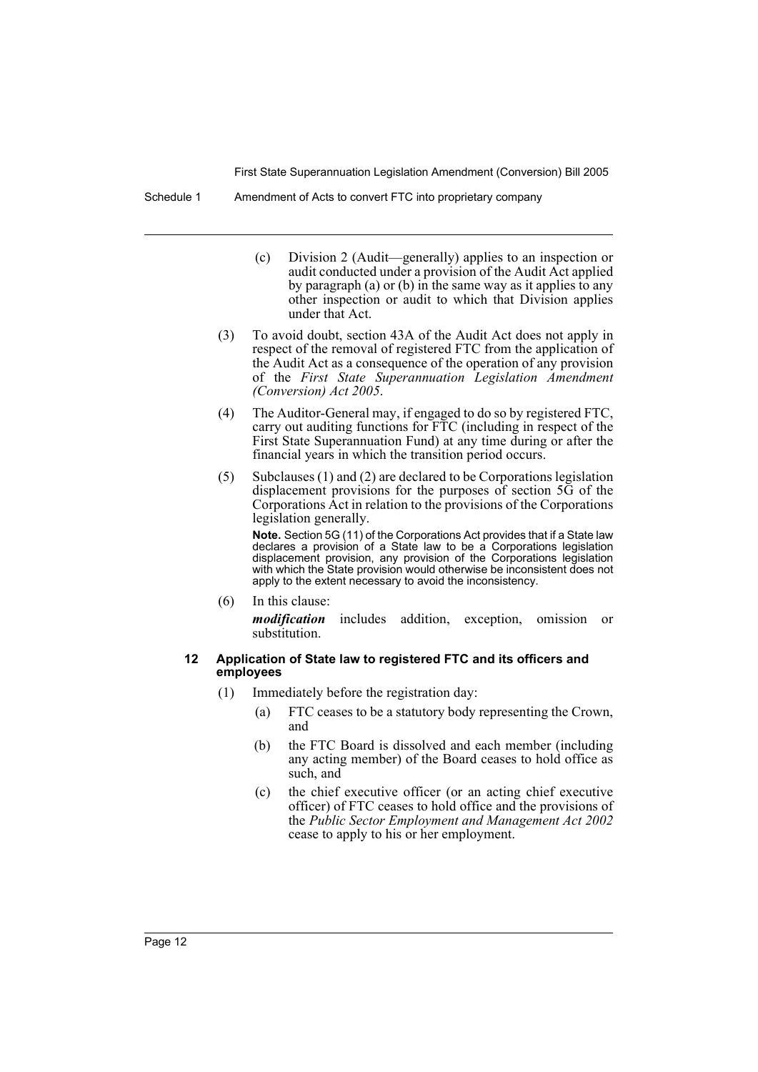Schedule 1 Amendment of Acts to convert FTC into proprietary company

- (c) Division 2 (Audit—generally) applies to an inspection or audit conducted under a provision of the Audit Act applied by paragraph (a) or (b) in the same way as it applies to any other inspection or audit to which that Division applies under that Act.
- (3) To avoid doubt, section 43A of the Audit Act does not apply in respect of the removal of registered FTC from the application of the Audit Act as a consequence of the operation of any provision of the *First State Superannuation Legislation Amendment (Conversion) Act 2005*.
- (4) The Auditor-General may, if engaged to do so by registered FTC, carry out auditing functions for FTC (including in respect of the First State Superannuation Fund) at any time during or after the financial years in which the transition period occurs.
- (5) Subclauses (1) and (2) are declared to be Corporations legislation displacement provisions for the purposes of section 5G of the Corporations Act in relation to the provisions of the Corporations legislation generally.

**Note.** Section 5G (11) of the Corporations Act provides that if a State law declares a provision of a State law to be a Corporations legislation displacement provision, any provision of the Corporations legislation with which the State provision would otherwise be inconsistent does not apply to the extent necessary to avoid the inconsistency.

(6) In this clause:

*modification* includes addition, exception, omission or substitution.

#### **12 Application of State law to registered FTC and its officers and employees**

- (1) Immediately before the registration day:
	- (a) FTC ceases to be a statutory body representing the Crown, and
	- (b) the FTC Board is dissolved and each member (including any acting member) of the Board ceases to hold office as such, and
	- (c) the chief executive officer (or an acting chief executive officer) of FTC ceases to hold office and the provisions of the *Public Sector Employment and Management Act 2002* cease to apply to his or her employment.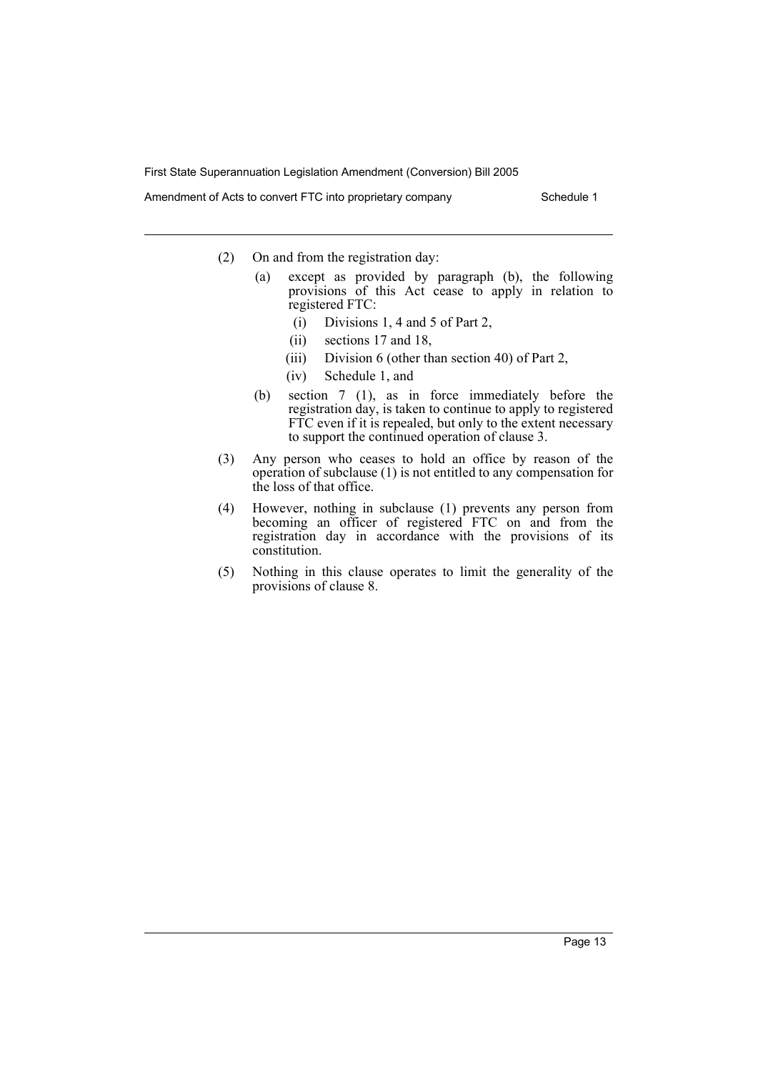Amendment of Acts to convert FTC into proprietary company Schedule 1

- (2) On and from the registration day:
	- (a) except as provided by paragraph (b), the following provisions of this Act cease to apply in relation to registered FTC:
		- (i) Divisions 1, 4 and 5 of Part 2,
		- (ii) sections 17 and 18,
		- (iii) Division 6 (other than section 40) of Part 2,
		- (iv) Schedule 1, and
	- (b) section 7 (1), as in force immediately before the registration day, is taken to continue to apply to registered FTC even if it is repealed, but only to the extent necessary to support the continued operation of clause 3.
- (3) Any person who ceases to hold an office by reason of the operation of subclause (1) is not entitled to any compensation for the loss of that office.
- (4) However, nothing in subclause (1) prevents any person from becoming an officer of registered FTC on and from the registration day in accordance with the provisions of its constitution.
- (5) Nothing in this clause operates to limit the generality of the provisions of clause 8.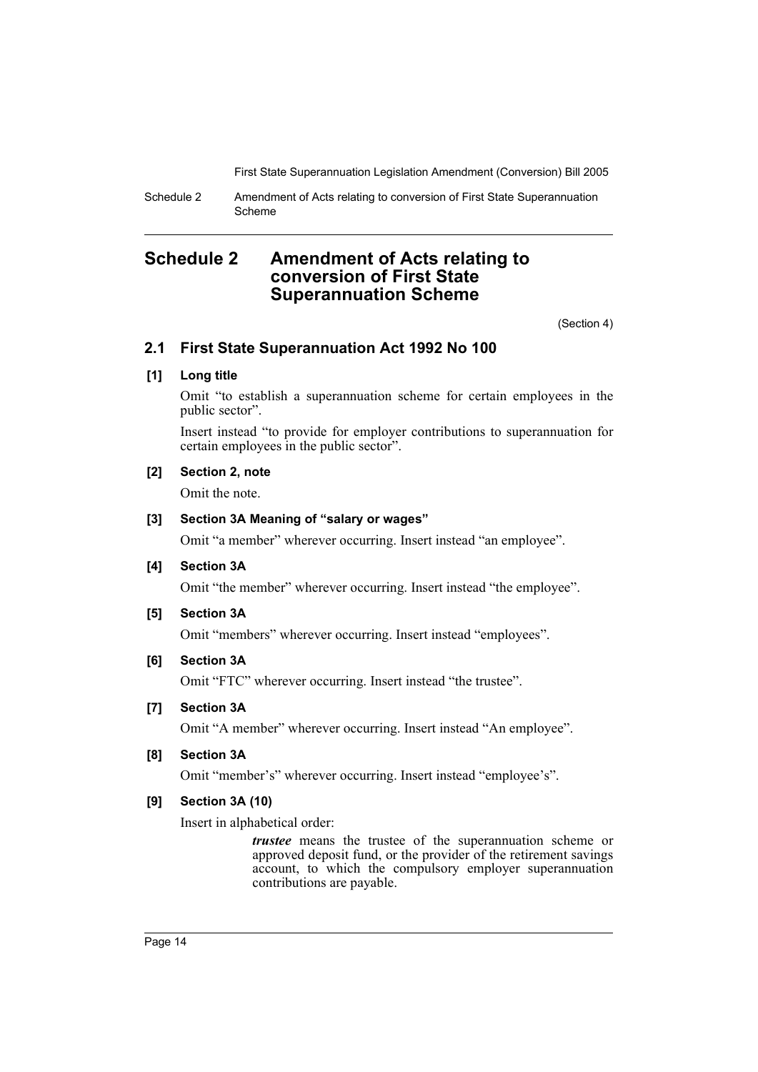Schedule 2 Amendment of Acts relating to conversion of First State Superannuation Scheme

# **Schedule 2 Amendment of Acts relating to conversion of First State Superannuation Scheme**

(Section 4)

# **2.1 First State Superannuation Act 1992 No 100**

# **[1] Long title**

Omit "to establish a superannuation scheme for certain employees in the public sector".

Insert instead "to provide for employer contributions to superannuation for certain employees in the public sector".

# **[2] Section 2, note**

Omit the note.

## **[3] Section 3A Meaning of "salary or wages"**

Omit "a member" wherever occurring. Insert instead "an employee".

# **[4] Section 3A**

Omit "the member" wherever occurring. Insert instead "the employee".

## **[5] Section 3A**

Omit "members" wherever occurring. Insert instead "employees".

# **[6] Section 3A**

Omit "FTC" wherever occurring. Insert instead "the trustee".

#### **[7] Section 3A**

Omit "A member" wherever occurring. Insert instead "An employee".

## **[8] Section 3A**

Omit "member's" wherever occurring. Insert instead "employee's".

# **[9] Section 3A (10)**

Insert in alphabetical order:

*trustee* means the trustee of the superannuation scheme or approved deposit fund, or the provider of the retirement savings account, to which the compulsory employer superannuation contributions are payable.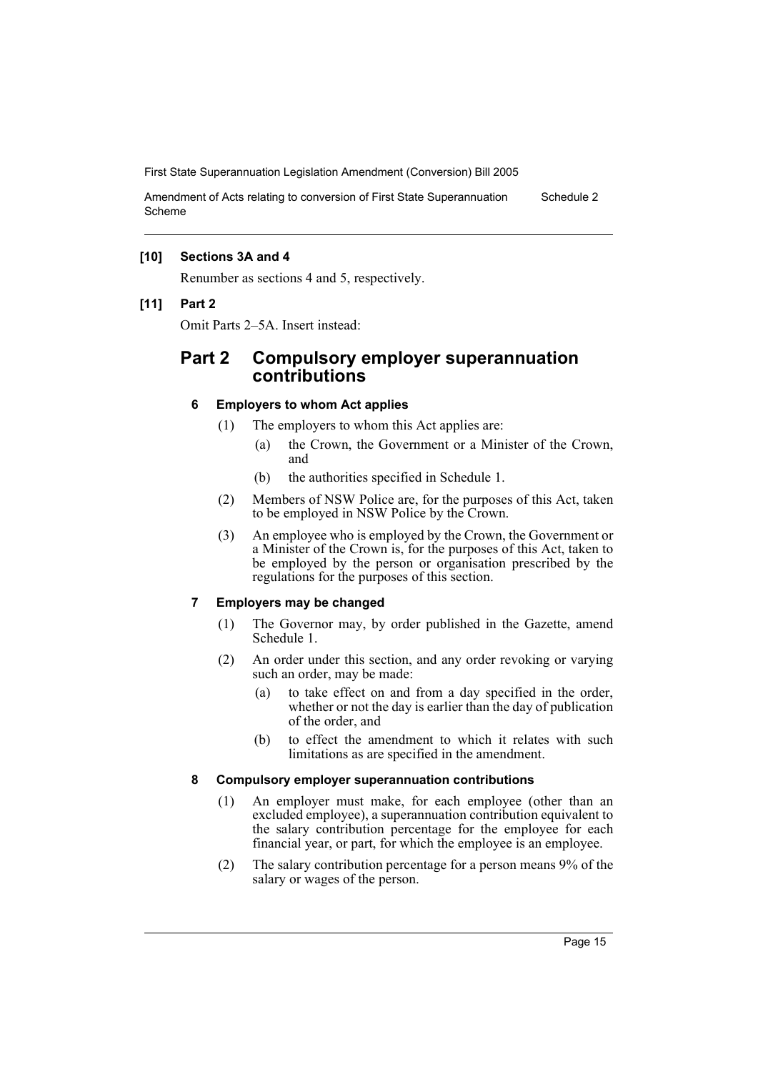Amendment of Acts relating to conversion of First State Superannuation Scheme Schedule 2

# **[10] Sections 3A and 4**

Renumber as sections 4 and 5, respectively.

#### **[11] Part 2**

Omit Parts 2–5A. Insert instead:

# **Part 2 Compulsory employer superannuation contributions**

## **6 Employers to whom Act applies**

- (1) The employers to whom this Act applies are:
	- (a) the Crown, the Government or a Minister of the Crown, and
	- (b) the authorities specified in Schedule 1.
- (2) Members of NSW Police are, for the purposes of this Act, taken to be employed in NSW Police by the Crown.
- (3) An employee who is employed by the Crown, the Government or a Minister of the Crown is, for the purposes of this Act, taken to be employed by the person or organisation prescribed by the regulations for the purposes of this section.

# **7 Employers may be changed**

- (1) The Governor may, by order published in the Gazette, amend Schedule 1.
- (2) An order under this section, and any order revoking or varying such an order, may be made:
	- (a) to take effect on and from a day specified in the order, whether or not the day is earlier than the day of publication of the order, and
	- (b) to effect the amendment to which it relates with such limitations as are specified in the amendment.

#### **8 Compulsory employer superannuation contributions**

- (1) An employer must make, for each employee (other than an excluded employee), a superannuation contribution equivalent to the salary contribution percentage for the employee for each financial year, or part, for which the employee is an employee.
- (2) The salary contribution percentage for a person means 9% of the salary or wages of the person.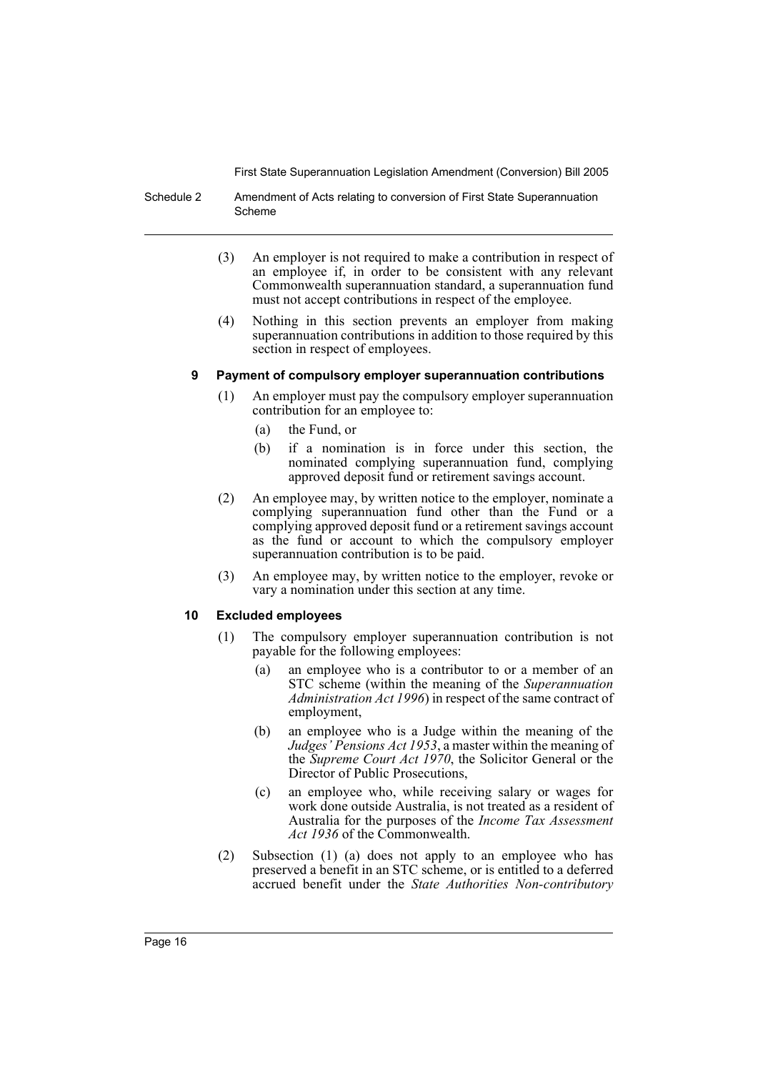Schedule 2 Amendment of Acts relating to conversion of First State Superannuation Scheme

- (3) An employer is not required to make a contribution in respect of an employee if, in order to be consistent with any relevant Commonwealth superannuation standard, a superannuation fund must not accept contributions in respect of the employee.
- (4) Nothing in this section prevents an employer from making superannuation contributions in addition to those required by this section in respect of employees.

## **9 Payment of compulsory employer superannuation contributions**

- (1) An employer must pay the compulsory employer superannuation contribution for an employee to:
	- (a) the Fund, or
	- (b) if a nomination is in force under this section, the nominated complying superannuation fund, complying approved deposit fund or retirement savings account.
- (2) An employee may, by written notice to the employer, nominate a complying superannuation fund other than the Fund or a complying approved deposit fund or a retirement savings account as the fund or account to which the compulsory employer superannuation contribution is to be paid.
- (3) An employee may, by written notice to the employer, revoke or vary a nomination under this section at any time.

# **10 Excluded employees**

- (1) The compulsory employer superannuation contribution is not payable for the following employees:
	- (a) an employee who is a contributor to or a member of an STC scheme (within the meaning of the *Superannuation Administration Act 1996*) in respect of the same contract of employment,
	- (b) an employee who is a Judge within the meaning of the *Judges' Pensions Act 1953*, a master within the meaning of the *Supreme Court Act 1970*, the Solicitor General or the Director of Public Prosecutions,
	- (c) an employee who, while receiving salary or wages for work done outside Australia, is not treated as a resident of Australia for the purposes of the *Income Tax Assessment Act 1936* of the Commonwealth.
- (2) Subsection (1) (a) does not apply to an employee who has preserved a benefit in an STC scheme, or is entitled to a deferred accrued benefit under the *State Authorities Non-contributory*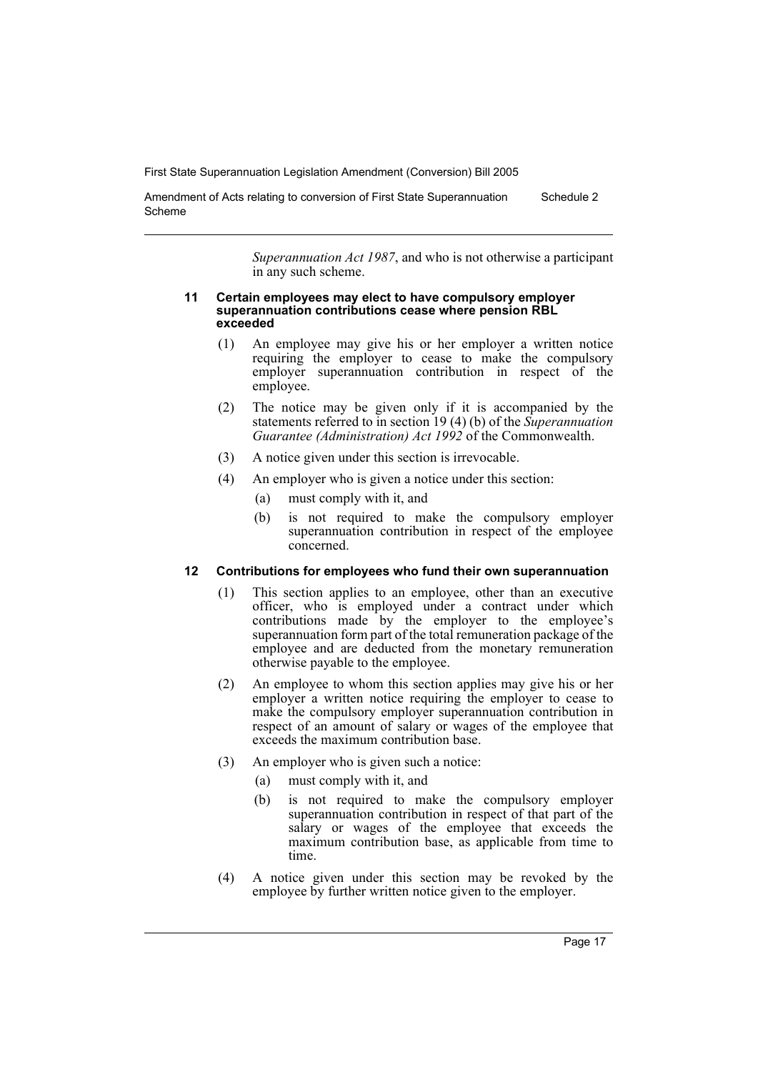Amendment of Acts relating to conversion of First State Superannuation Scheme Schedule 2

> *Superannuation Act 1987*, and who is not otherwise a participant in any such scheme.

#### **11 Certain employees may elect to have compulsory employer superannuation contributions cease where pension RBL exceeded**

- (1) An employee may give his or her employer a written notice requiring the employer to cease to make the compulsory employer superannuation contribution in respect of the employee.
- (2) The notice may be given only if it is accompanied by the statements referred to in section 19 (4) (b) of the *Superannuation Guarantee (Administration) Act 1992* of the Commonwealth.
- (3) A notice given under this section is irrevocable.
- (4) An employer who is given a notice under this section:
	- (a) must comply with it, and
	- (b) is not required to make the compulsory employer superannuation contribution in respect of the employee concerned.

# **12 Contributions for employees who fund their own superannuation**

- (1) This section applies to an employee, other than an executive officer, who is employed under a contract under which contributions made by the employer to the employee's superannuation form part of the total remuneration package of the employee and are deducted from the monetary remuneration otherwise payable to the employee.
- (2) An employee to whom this section applies may give his or her employer a written notice requiring the employer to cease to make the compulsory employer superannuation contribution in respect of an amount of salary or wages of the employee that exceeds the maximum contribution base.
- (3) An employer who is given such a notice:
	- (a) must comply with it, and
	- (b) is not required to make the compulsory employer superannuation contribution in respect of that part of the salary or wages of the employee that exceeds the maximum contribution base, as applicable from time to time.
- (4) A notice given under this section may be revoked by the employee by further written notice given to the employer.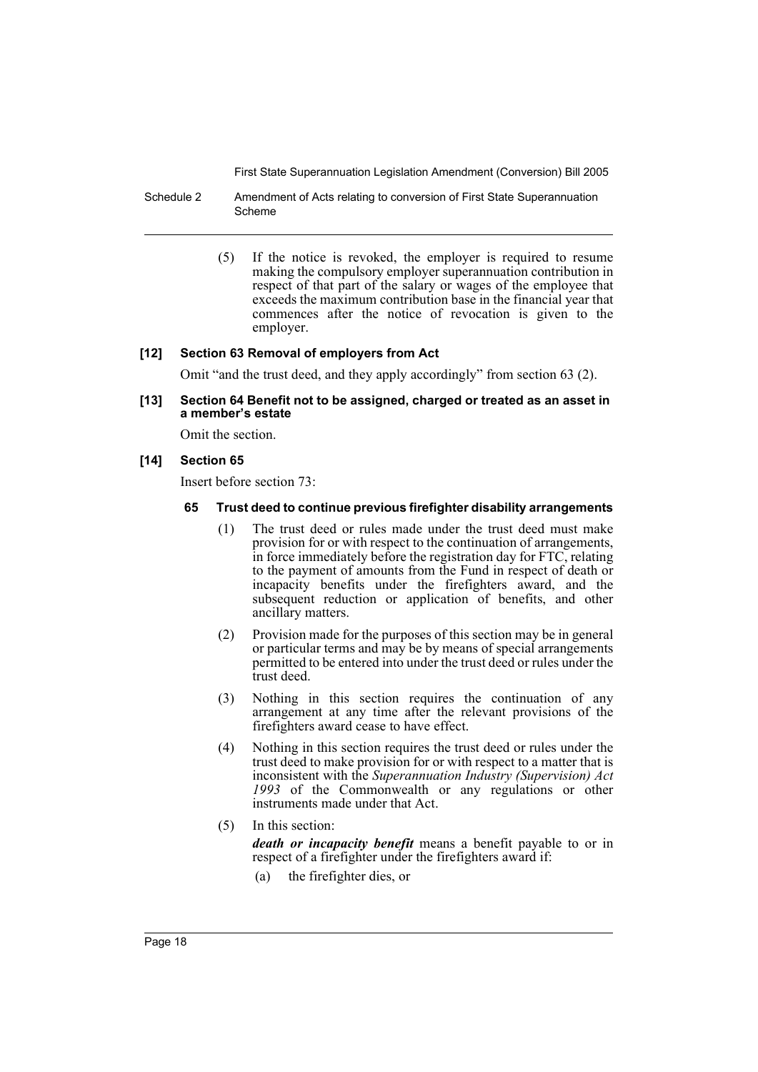Schedule 2 Amendment of Acts relating to conversion of First State Superannuation Scheme

> (5) If the notice is revoked, the employer is required to resume making the compulsory employer superannuation contribution in respect of that part of the salary or wages of the employee that exceeds the maximum contribution base in the financial year that commences after the notice of revocation is given to the employer.

## **[12] Section 63 Removal of employers from Act**

Omit "and the trust deed, and they apply accordingly" from section 63 (2).

### **[13] Section 64 Benefit not to be assigned, charged or treated as an asset in a member's estate**

Omit the section.

#### **[14] Section 65**

Insert before section 73:

#### **65 Trust deed to continue previous firefighter disability arrangements**

- (1) The trust deed or rules made under the trust deed must make provision for or with respect to the continuation of arrangements, in force immediately before the registration day for FTC, relating to the payment of amounts from the Fund in respect of death or incapacity benefits under the firefighters award, and the subsequent reduction or application of benefits, and other ancillary matters.
- (2) Provision made for the purposes of this section may be in general or particular terms and may be by means of special arrangements permitted to be entered into under the trust deed or rules under the trust deed.
- (3) Nothing in this section requires the continuation of any arrangement at any time after the relevant provisions of the firefighters award cease to have effect.
- (4) Nothing in this section requires the trust deed or rules under the trust deed to make provision for or with respect to a matter that is inconsistent with the *Superannuation Industry (Supervision) Act 1993* of the Commonwealth or any regulations or other instruments made under that Act.
- (5) In this section:

*death or incapacity benefit* means a benefit payable to or in respect of a firefighter under the firefighters award if:

(a) the firefighter dies, or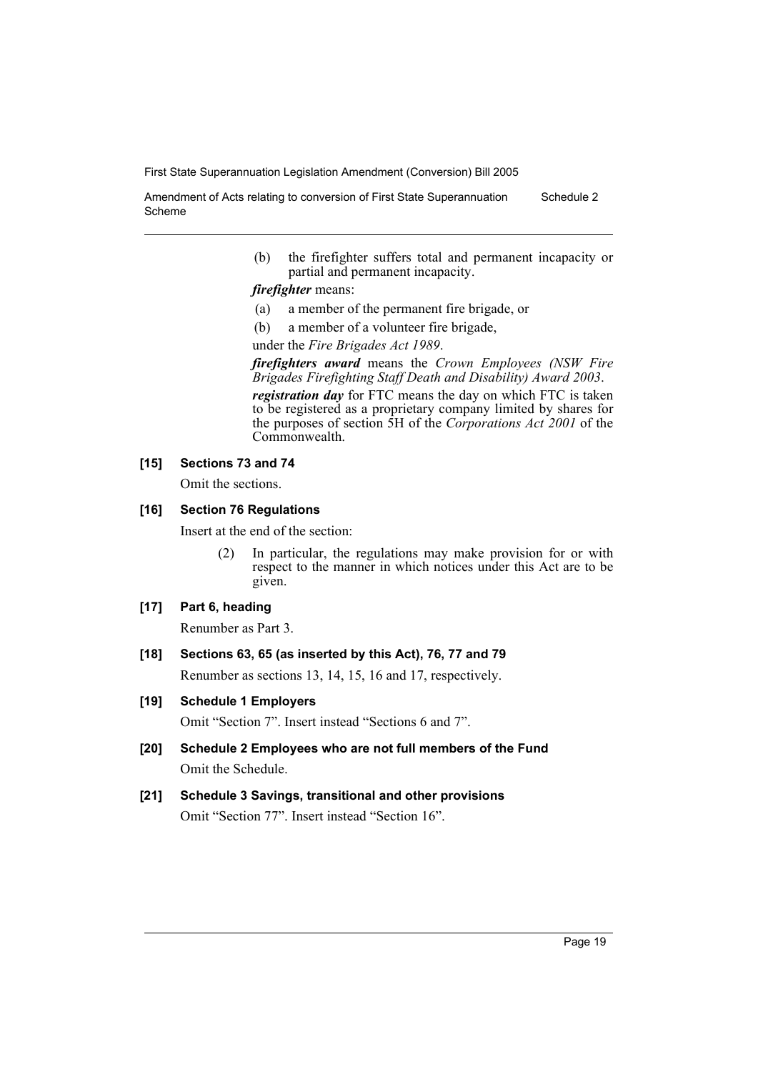Amendment of Acts relating to conversion of First State Superannuation Scheme Schedule 2

> (b) the firefighter suffers total and permanent incapacity or partial and permanent incapacity.

*firefighter* means:

- (a) a member of the permanent fire brigade, or
- (b) a member of a volunteer fire brigade,

under the *Fire Brigades Act 1989*.

*firefighters award* means the *Crown Employees (NSW Fire Brigades Firefighting Staff Death and Disability) Award 2003*.

*registration day* for FTC means the day on which FTC is taken to be registered as a proprietary company limited by shares for the purposes of section 5H of the *Corporations Act 2001* of the Commonwealth.

#### **[15] Sections 73 and 74**

Omit the sections.

#### **[16] Section 76 Regulations**

Insert at the end of the section:

(2) In particular, the regulations may make provision for or with respect to the manner in which notices under this Act are to be given.

### **[17] Part 6, heading**

Renumber as Part 3.

#### **[18] Sections 63, 65 (as inserted by this Act), 76, 77 and 79**

Renumber as sections 13, 14, 15, 16 and 17, respectively.

# **[19] Schedule 1 Employers**

Omit "Section 7". Insert instead "Sections 6 and 7".

- **[20] Schedule 2 Employees who are not full members of the Fund** Omit the Schedule.
- **[21] Schedule 3 Savings, transitional and other provisions** Omit "Section 77". Insert instead "Section 16".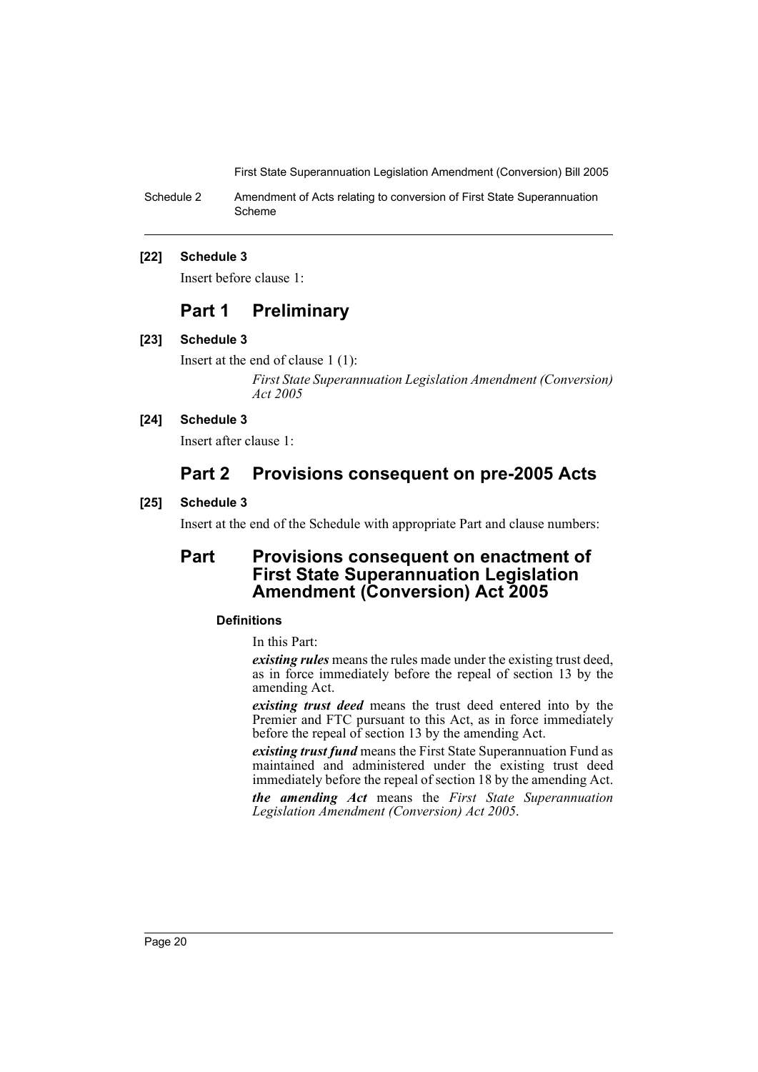Schedule 2 Amendment of Acts relating to conversion of First State Superannuation Scheme

#### **[22] Schedule 3**

Insert before clause 1:

# **Part 1 Preliminary**

#### **[23] Schedule 3**

Insert at the end of clause 1 (1): *First State Superannuation Legislation Amendment (Conversion) Act 2005* 

## **[24] Schedule 3**

Insert after clause 1:

# **Part 2 Provisions consequent on pre-2005 Acts**

## **[25] Schedule 3**

Insert at the end of the Schedule with appropriate Part and clause numbers:

# **Part Provisions consequent on enactment of First State Superannuation Legislation Amendment (Conversion) Act 2005**

## **Definitions**

In this Part:

*existing rules* means the rules made under the existing trust deed, as in force immediately before the repeal of section 13 by the amending Act.

*existing trust deed* means the trust deed entered into by the Premier and FTC pursuant to this Act, as in force immediately before the repeal of section 13 by the amending Act.

*existing trust fund* means the First State Superannuation Fund as maintained and administered under the existing trust deed immediately before the repeal of section 18 by the amending Act.

*the amending Act* means the *First State Superannuation Legislation Amendment (Conversion) Act 2005*.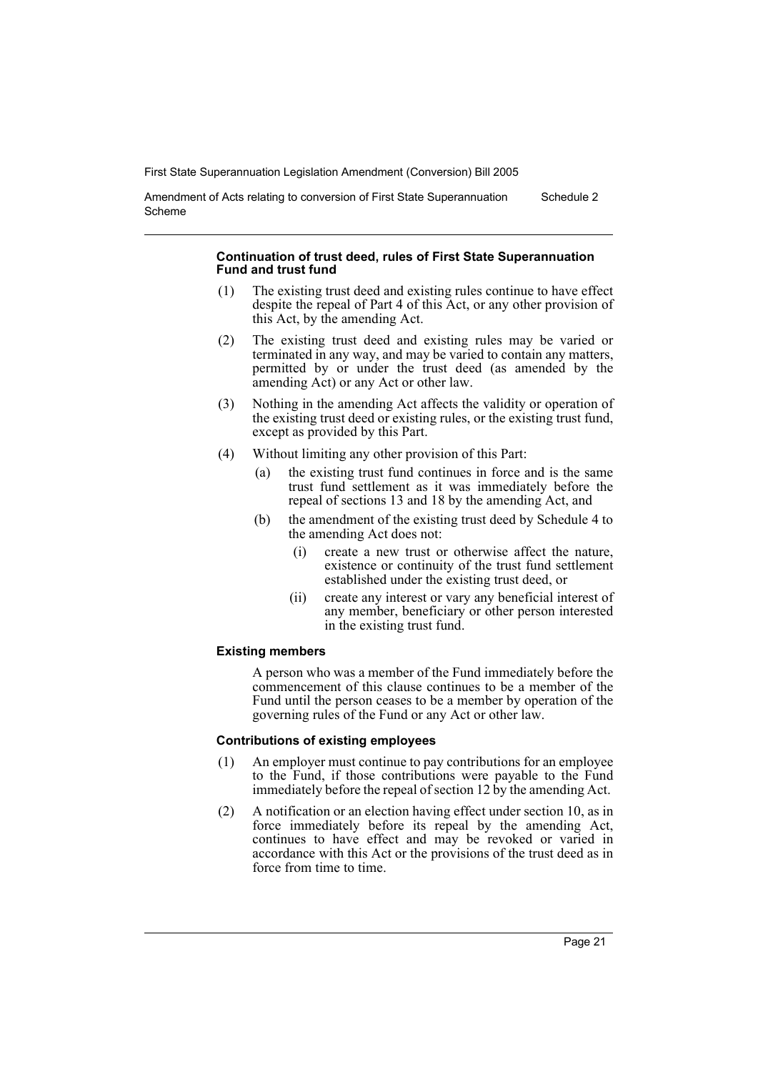Amendment of Acts relating to conversion of First State Superannuation Scheme Schedule 2

#### **Continuation of trust deed, rules of First State Superannuation Fund and trust fund**

- (1) The existing trust deed and existing rules continue to have effect despite the repeal of Part 4 of this Act, or any other provision of this Act, by the amending Act.
- (2) The existing trust deed and existing rules may be varied or terminated in any way, and may be varied to contain any matters, permitted by or under the trust deed (as amended by the amending Act) or any Act or other law.
- (3) Nothing in the amending Act affects the validity or operation of the existing trust deed or existing rules, or the existing trust fund, except as provided by this Part.
- (4) Without limiting any other provision of this Part:
	- (a) the existing trust fund continues in force and is the same trust fund settlement as it was immediately before the repeal of sections 13 and 18 by the amending Act, and
	- (b) the amendment of the existing trust deed by Schedule 4 to the amending Act does not:
		- (i) create a new trust or otherwise affect the nature, existence or continuity of the trust fund settlement established under the existing trust deed, or
		- (ii) create any interest or vary any beneficial interest of any member, beneficiary or other person interested in the existing trust fund.

# **Existing members**

A person who was a member of the Fund immediately before the commencement of this clause continues to be a member of the Fund until the person ceases to be a member by operation of the governing rules of the Fund or any Act or other law.

# **Contributions of existing employees**

- (1) An employer must continue to pay contributions for an employee to the Fund, if those contributions were payable to the Fund immediately before the repeal of section 12 by the amending Act.
- (2) A notification or an election having effect under section 10, as in force immediately before its repeal by the amending Act, continues to have effect and may be revoked or varied in accordance with this Act or the provisions of the trust deed as in force from time to time.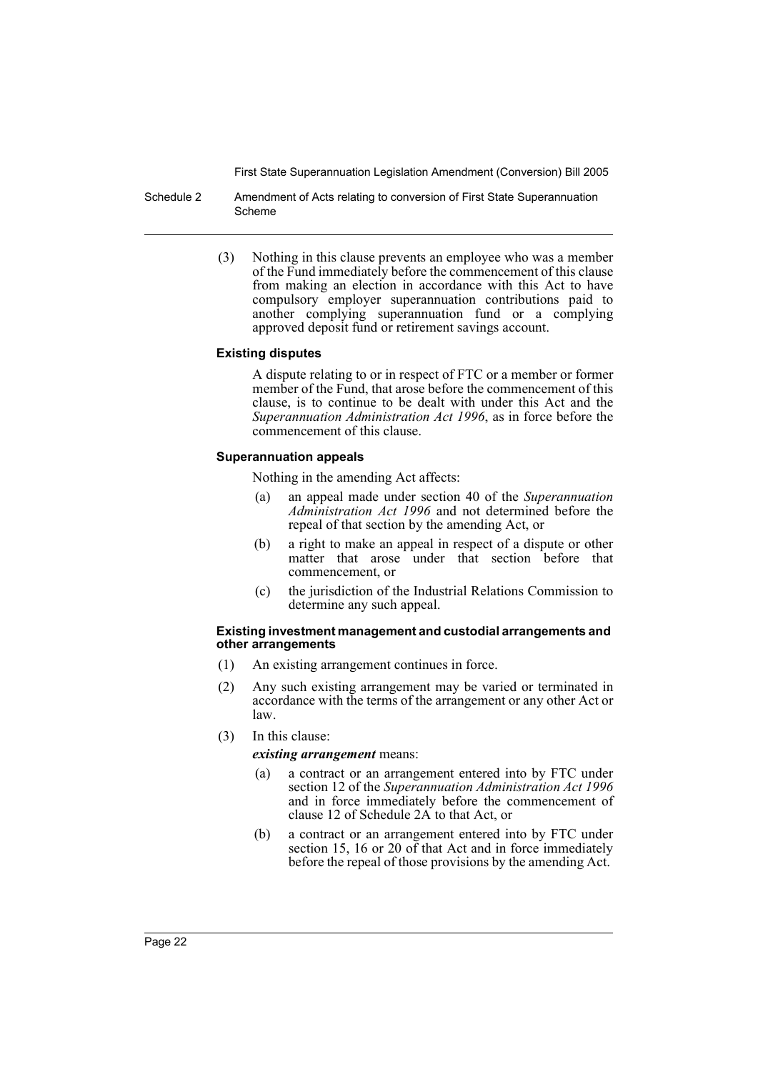Schedule 2 Amendment of Acts relating to conversion of First State Superannuation Scheme

> (3) Nothing in this clause prevents an employee who was a member of the Fund immediately before the commencement of this clause from making an election in accordance with this Act to have compulsory employer superannuation contributions paid to another complying superannuation fund or a complying approved deposit fund or retirement savings account.

#### **Existing disputes**

A dispute relating to or in respect of FTC or a member or former member of the Fund, that arose before the commencement of this clause, is to continue to be dealt with under this Act and the *Superannuation Administration Act 1996*, as in force before the commencement of this clause.

#### **Superannuation appeals**

Nothing in the amending Act affects:

- (a) an appeal made under section 40 of the *Superannuation Administration Act 1996* and not determined before the repeal of that section by the amending Act, or
- (b) a right to make an appeal in respect of a dispute or other matter that arose under that section before that commencement, or
- (c) the jurisdiction of the Industrial Relations Commission to determine any such appeal.

#### **Existing investment management and custodial arrangements and other arrangements**

- (1) An existing arrangement continues in force.
- (2) Any such existing arrangement may be varied or terminated in accordance with the terms of the arrangement or any other Act or law.
- (3) In this clause:

*existing arrangement* means:

- (a) a contract or an arrangement entered into by FTC under section 12 of the *Superannuation Administration Act 1996* and in force immediately before the commencement of clause 12 of Schedule 2A to that Act, or
- (b) a contract or an arrangement entered into by FTC under section 15, 16 or 20 of that Act and in force immediately before the repeal of those provisions by the amending Act.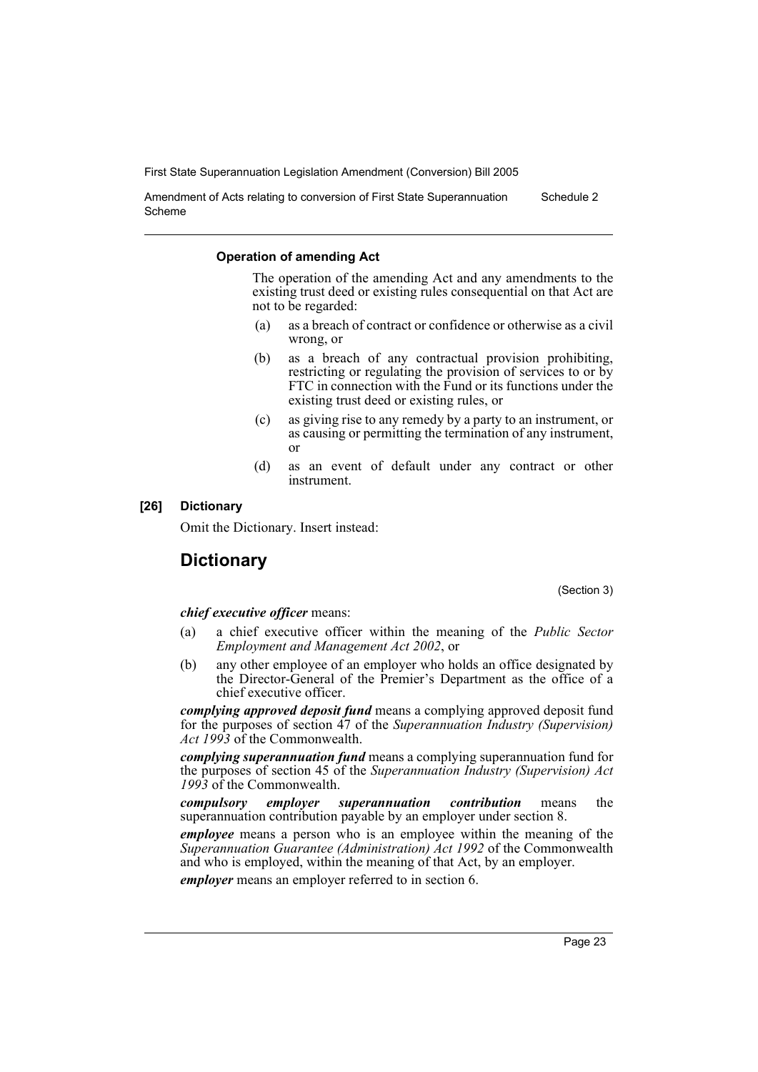Amendment of Acts relating to conversion of First State Superannuation Scheme Schedule 2

#### **Operation of amending Act**

The operation of the amending Act and any amendments to the existing trust deed or existing rules consequential on that Act are not to be regarded:

- (a) as a breach of contract or confidence or otherwise as a civil wrong, or
- (b) as a breach of any contractual provision prohibiting, restricting or regulating the provision of services to or by FTC in connection with the Fund or its functions under the existing trust deed or existing rules, or
- (c) as giving rise to any remedy by a party to an instrument, or as causing or permitting the termination of any instrument, or
- (d) as an event of default under any contract or other instrument.

#### **[26] Dictionary**

Omit the Dictionary. Insert instead:

# **Dictionary**

(Section 3)

#### *chief executive officer* means:

- (a) a chief executive officer within the meaning of the *Public Sector Employment and Management Act 2002*, or
- (b) any other employee of an employer who holds an office designated by the Director-General of the Premier's Department as the office of a chief executive officer.

*complying approved deposit fund* means a complying approved deposit fund for the purposes of section 47 of the *Superannuation Industry (Supervision) Act 1993* of the Commonwealth.

*complying superannuation fund* means a complying superannuation fund for the purposes of section 45 of the *Superannuation Industry (Supervision) Act 1993* of the Commonwealth.

*compulsory employer superannuation contribution* means the superannuation contribution payable by an employer under section 8.

*employee* means a person who is an employee within the meaning of the *Superannuation Guarantee (Administration) Act 1992* of the Commonwealth and who is employed, within the meaning of that Act, by an employer.

*employer* means an employer referred to in section 6.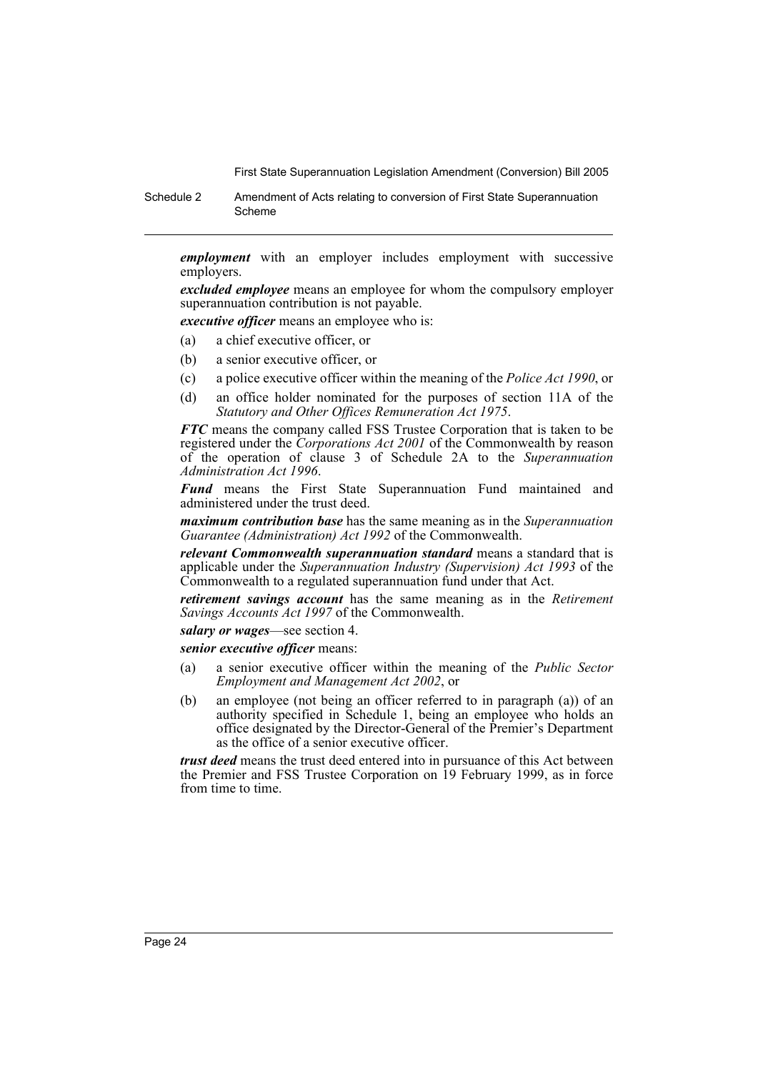Schedule 2 Amendment of Acts relating to conversion of First State Superannuation Scheme

*employment* with an employer includes employment with successive employers.

*excluded employee* means an employee for whom the compulsory employer superannuation contribution is not payable.

*executive officer* means an employee who is:

- (a) a chief executive officer, or
- (b) a senior executive officer, or
- (c) a police executive officer within the meaning of the *Police Act 1990*, or
- (d) an office holder nominated for the purposes of section 11A of the *Statutory and Other Offices Remuneration Act 1975*.

*FTC* means the company called FSS Trustee Corporation that is taken to be registered under the *Corporations Act 2001* of the Commonwealth by reason of the operation of clause 3 of Schedule 2A to the *Superannuation Administration Act 1996*.

*Fund* means the First State Superannuation Fund maintained and administered under the trust deed.

*maximum contribution base* has the same meaning as in the *Superannuation Guarantee (Administration) Act 1992* of the Commonwealth.

*relevant Commonwealth superannuation standard* means a standard that is applicable under the *Superannuation Industry (Supervision) Act 1993* of the Commonwealth to a regulated superannuation fund under that Act.

*retirement savings account* has the same meaning as in the *Retirement Savings Accounts Act 1997* of the Commonwealth.

*salary or wages*—see section 4.

*senior executive officer* means:

- (a) a senior executive officer within the meaning of the *Public Sector Employment and Management Act 2002*, or
- (b) an employee (not being an officer referred to in paragraph (a)) of an authority specified in Schedule 1, being an employee who holds an office designated by the Director-General of the Premier's Department as the office of a senior executive officer.

*trust deed* means the trust deed entered into in pursuance of this Act between the Premier and FSS Trustee Corporation on 19 February 1999, as in force from time to time.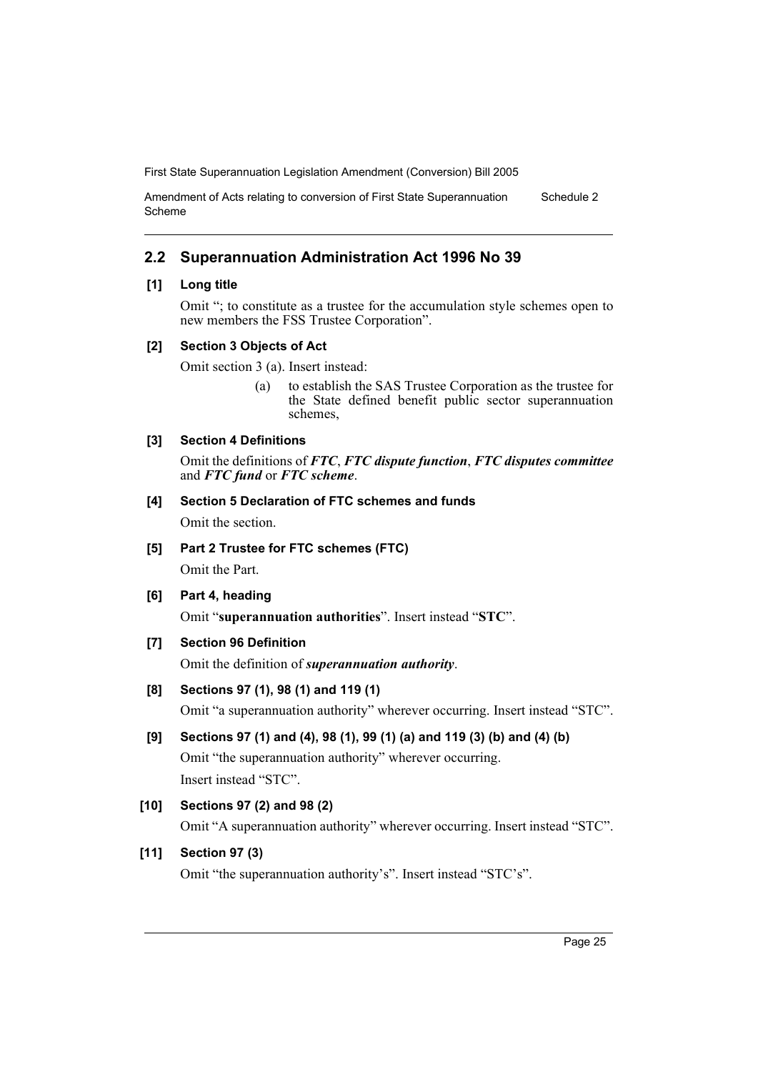Amendment of Acts relating to conversion of First State Superannuation Scheme Schedule 2

# **2.2 Superannuation Administration Act 1996 No 39**

## **[1] Long title**

Omit "; to constitute as a trustee for the accumulation style schemes open to new members the FSS Trustee Corporation".

## **[2] Section 3 Objects of Act**

Omit section 3 (a). Insert instead:

(a) to establish the SAS Trustee Corporation as the trustee for the State defined benefit public sector superannuation schemes,

# **[3] Section 4 Definitions**

Omit the definitions of *FTC*, *FTC dispute function*, *FTC disputes committee* and *FTC fund* or *FTC scheme*.

# **[4] Section 5 Declaration of FTC schemes and funds**

Omit the section.

**[5] Part 2 Trustee for FTC schemes (FTC)**

Omit the Part.

**[6] Part 4, heading**

Omit "**superannuation authorities**". Insert instead "**STC**".

**[7] Section 96 Definition**

Omit the definition of *superannuation authority*.

# **[8] Sections 97 (1), 98 (1) and 119 (1)**

Omit "a superannuation authority" wherever occurring. Insert instead "STC".

# **[9] Sections 97 (1) and (4), 98 (1), 99 (1) (a) and 119 (3) (b) and (4) (b)**

Omit "the superannuation authority" wherever occurring. Insert instead "STC".

# **[10] Sections 97 (2) and 98 (2)**

Omit "A superannuation authority" wherever occurring. Insert instead "STC".

# **[11] Section 97 (3)**

Omit "the superannuation authority's". Insert instead "STC's".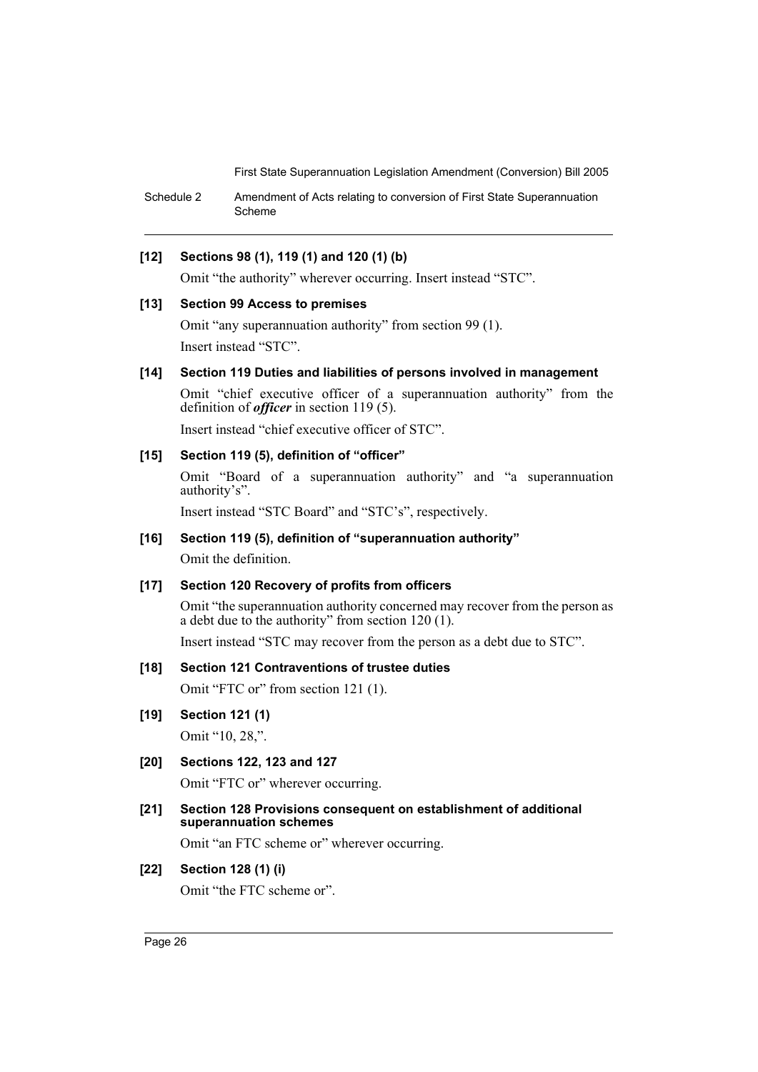Schedule 2 Amendment of Acts relating to conversion of First State Superannuation Scheme

# **[12] Sections 98 (1), 119 (1) and 120 (1) (b)**

Omit "the authority" wherever occurring. Insert instead "STC".

#### **[13] Section 99 Access to premises**

Omit "any superannuation authority" from section 99 (1). Insert instead "STC".

# **[14] Section 119 Duties and liabilities of persons involved in management**

Omit "chief executive officer of a superannuation authority" from the definition of *officer* in section 119 (5).

Insert instead "chief executive officer of STC".

# **[15] Section 119 (5), definition of "officer"**

Omit "Board of a superannuation authority" and "a superannuation authority's".

Insert instead "STC Board" and "STC's", respectively.

# **[16] Section 119 (5), definition of "superannuation authority"**

Omit the definition.

### **[17] Section 120 Recovery of profits from officers**

Omit "the superannuation authority concerned may recover from the person as a debt due to the authority" from section  $120(1)$ .

Insert instead "STC may recover from the person as a debt due to STC".

# **[18] Section 121 Contraventions of trustee duties**

Omit "FTC or" from section 121 (1).

# **[19] Section 121 (1)**

Omit "10, 28,".

**[20] Sections 122, 123 and 127**

Omit "FTC or" wherever occurring.

**[21] Section 128 Provisions consequent on establishment of additional superannuation schemes**

Omit "an FTC scheme or" wherever occurring.

# **[22] Section 128 (1) (i)**

Omit "the FTC scheme or".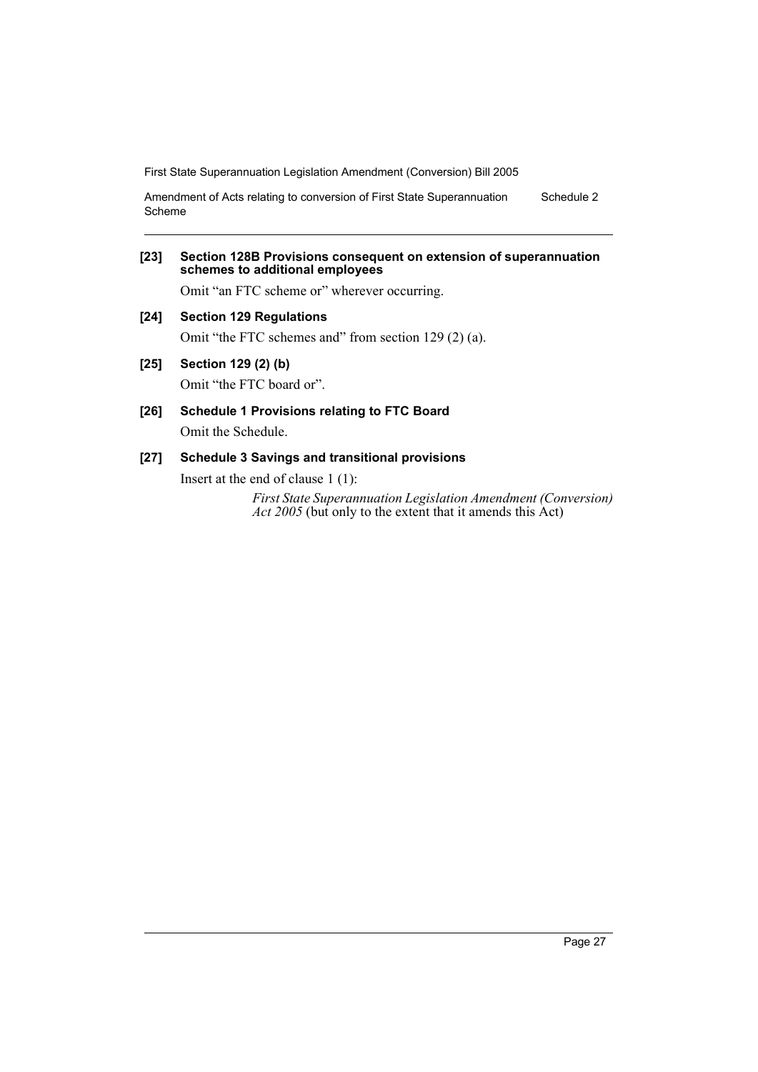Amendment of Acts relating to conversion of First State Superannuation Scheme Schedule 2

## **[23] Section 128B Provisions consequent on extension of superannuation schemes to additional employees**

Omit "an FTC scheme or" wherever occurring.

**[24] Section 129 Regulations**

Omit "the FTC schemes and" from section 129 (2) (a).

**[25] Section 129 (2) (b)**

Omit "the FTC board or".

**[26] Schedule 1 Provisions relating to FTC Board** Omit the Schedule.

# **[27] Schedule 3 Savings and transitional provisions**

Insert at the end of clause 1 (1):

*First State Superannuation Legislation Amendment (Conversion) Act 2005* (but only to the extent that it amends this Act)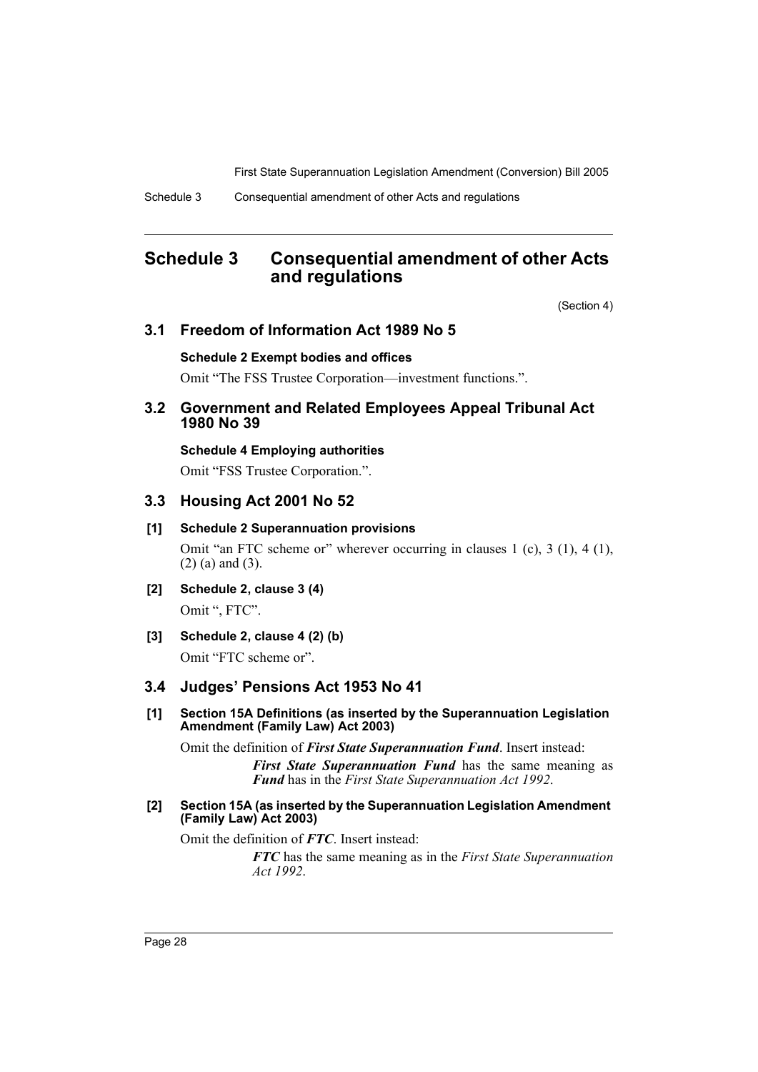# **Schedule 3 Consequential amendment of other Acts and regulations**

(Section 4)

# **3.1 Freedom of Information Act 1989 No 5**

#### **Schedule 2 Exempt bodies and offices**

Omit "The FSS Trustee Corporation—investment functions.".

# **3.2 Government and Related Employees Appeal Tribunal Act 1980 No 39**

**Schedule 4 Employing authorities**

Omit "FSS Trustee Corporation.".

## **3.3 Housing Act 2001 No 52**

#### **[1] Schedule 2 Superannuation provisions**

Omit "an FTC scheme or" wherever occurring in clauses 1 (c), 3 (1), 4 (1), (2) (a) and (3).

- **[2] Schedule 2, clause 3 (4)** Omit ", FTC".
- **[3] Schedule 2, clause 4 (2) (b)**

Omit "FTC scheme or".

# **3.4 Judges' Pensions Act 1953 No 41**

**[1] Section 15A Definitions (as inserted by the Superannuation Legislation Amendment (Family Law) Act 2003)**

Omit the definition of *First State Superannuation Fund*. Insert instead:

*First State Superannuation Fund* has the same meaning as *Fund* has in the *First State Superannuation Act 1992*.

## **[2] Section 15A (as inserted by the Superannuation Legislation Amendment (Family Law) Act 2003)**

Omit the definition of *FTC*. Insert instead:

*FTC* has the same meaning as in the *First State Superannuation Act 1992*.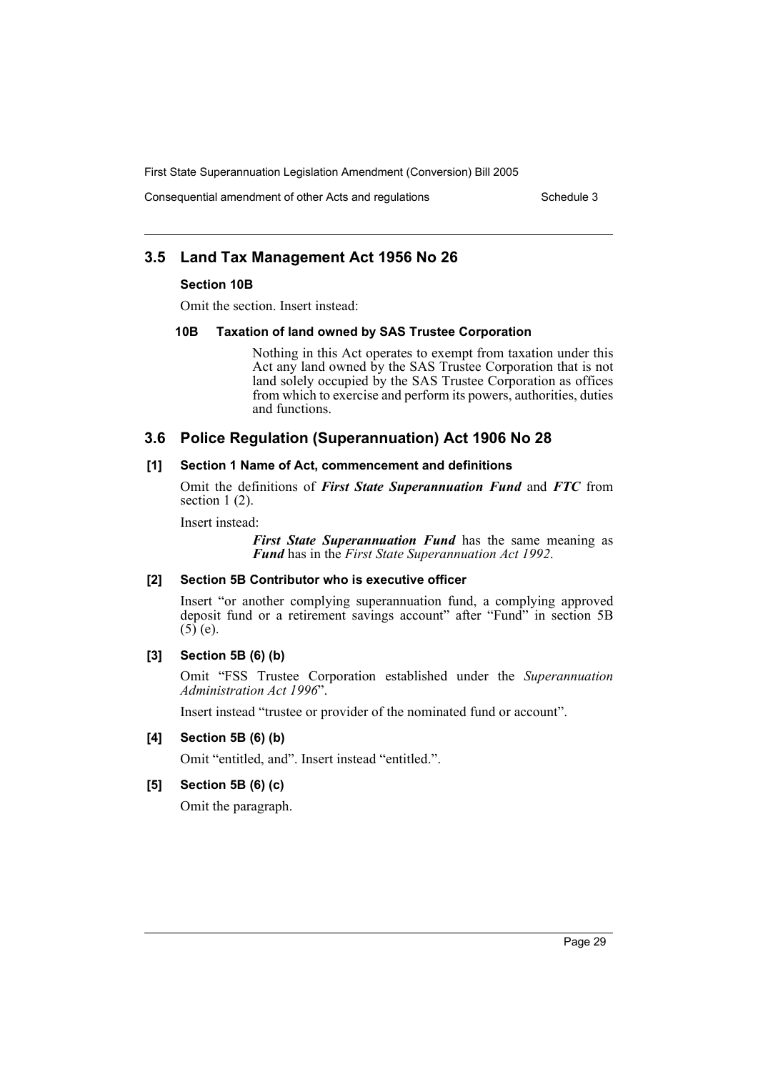Consequential amendment of other Acts and regulations Schedule 3

# **3.5 Land Tax Management Act 1956 No 26**

#### **Section 10B**

Omit the section. Insert instead:

#### **10B Taxation of land owned by SAS Trustee Corporation**

Nothing in this Act operates to exempt from taxation under this Act any land owned by the SAS Trustee Corporation that is not land solely occupied by the SAS Trustee Corporation as offices from which to exercise and perform its powers, authorities, duties and functions.

# **3.6 Police Regulation (Superannuation) Act 1906 No 28**

#### **[1] Section 1 Name of Act, commencement and definitions**

Omit the definitions of *First State Superannuation Fund* and *FTC* from section 1 (2).

Insert instead:

*First State Superannuation Fund* has the same meaning as *Fund* has in the *First State Superannuation Act 1992*.

# **[2] Section 5B Contributor who is executive officer**

Insert "or another complying superannuation fund, a complying approved deposit fund or a retirement savings account" after "Fund" in section 5B  $(5)$  (e).

# **[3] Section 5B (6) (b)**

Omit "FSS Trustee Corporation established under the *Superannuation Administration Act 1996*".

Insert instead "trustee or provider of the nominated fund or account".

#### **[4] Section 5B (6) (b)**

Omit "entitled, and". Insert instead "entitled.".

## **[5] Section 5B (6) (c)**

Omit the paragraph.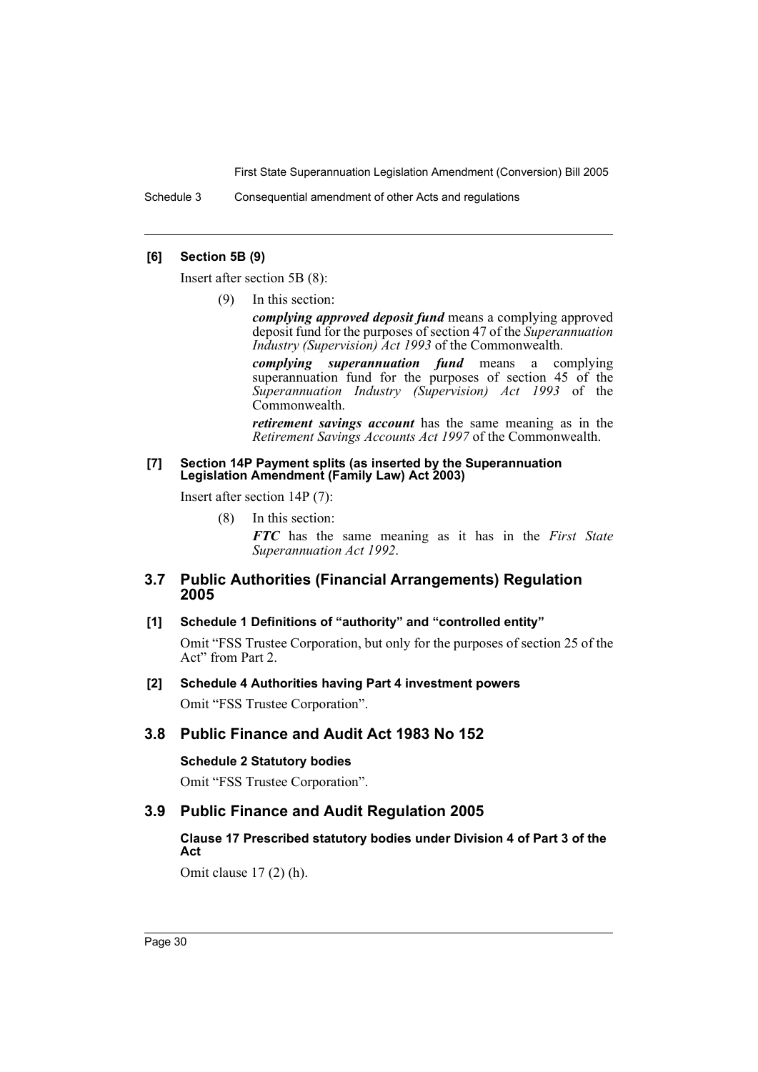Schedule 3 Consequential amendment of other Acts and regulations

## **[6] Section 5B (9)**

Insert after section 5B (8):

(9) In this section:

*complying approved deposit fund* means a complying approved deposit fund for the purposes of section 47 of the *Superannuation Industry (Supervision) Act 1993* of the Commonwealth.

*complying superannuation fund* means a complying superannuation fund for the purposes of section 45 of the *Superannuation Industry (Supervision) Act 1993* of the Commonwealth.

*retirement savings account* has the same meaning as in the *Retirement Savings Accounts Act 1997* of the Commonwealth.

#### **[7] Section 14P Payment splits (as inserted by the Superannuation Legislation Amendment (Family Law) Act 2003)**

Insert after section 14P (7):

(8) In this section:

*FTC* has the same meaning as it has in the *First State Superannuation Act 1992*.

# **3.7 Public Authorities (Financial Arrangements) Regulation 2005**

# **[1] Schedule 1 Definitions of "authority" and "controlled entity"**

Omit "FSS Trustee Corporation, but only for the purposes of section 25 of the Act" from Part 2.

#### **[2] Schedule 4 Authorities having Part 4 investment powers**

Omit "FSS Trustee Corporation".

# **3.8 Public Finance and Audit Act 1983 No 152**

# **Schedule 2 Statutory bodies**

Omit "FSS Trustee Corporation".

# **3.9 Public Finance and Audit Regulation 2005**

# **Clause 17 Prescribed statutory bodies under Division 4 of Part 3 of the Act**

Omit clause 17 (2) (h).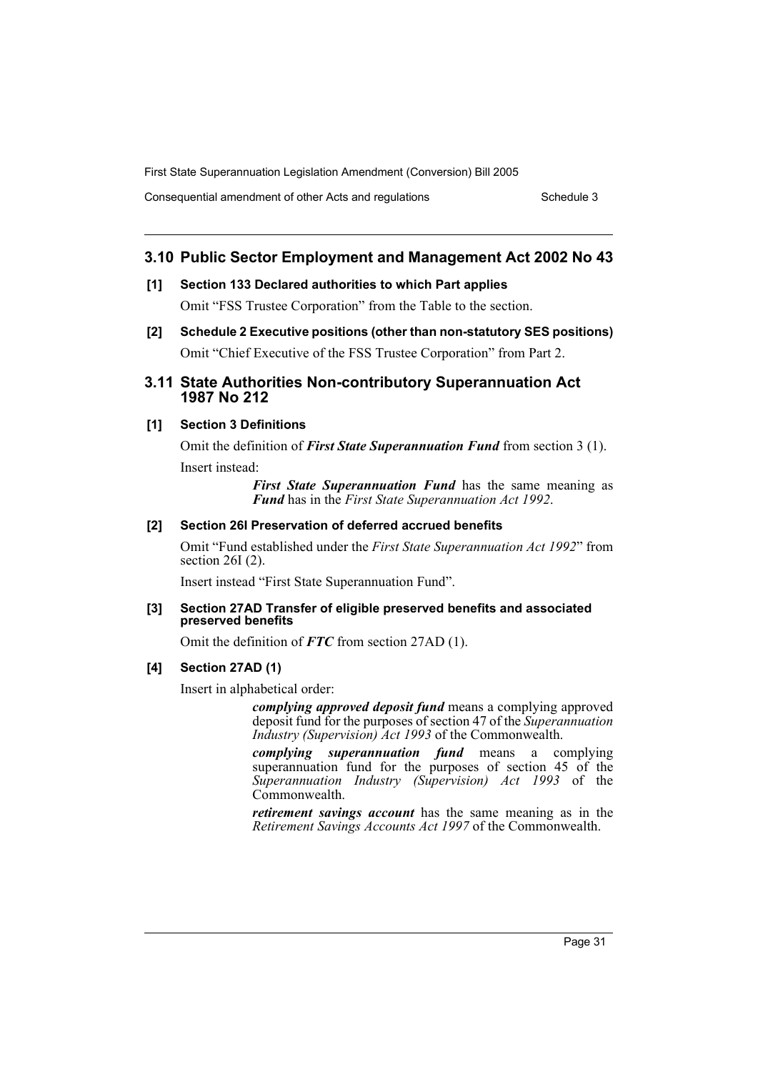Consequential amendment of other Acts and regulations Schedule 3

# **3.10 Public Sector Employment and Management Act 2002 No 43**

**[1] Section 133 Declared authorities to which Part applies**

Omit "FSS Trustee Corporation" from the Table to the section.

**[2] Schedule 2 Executive positions (other than non-statutory SES positions)** Omit "Chief Executive of the FSS Trustee Corporation" from Part 2.

# **3.11 State Authorities Non-contributory Superannuation Act 1987 No 212**

# **[1] Section 3 Definitions**

Omit the definition of *First State Superannuation Fund* from section 3 (1). Insert instead:

> *First State Superannuation Fund* has the same meaning as *Fund* has in the *First State Superannuation Act 1992*.

# **[2] Section 26I Preservation of deferred accrued benefits**

Omit "Fund established under the *First State Superannuation Act 1992*" from section 26I (2).

Insert instead "First State Superannuation Fund".

# **[3] Section 27AD Transfer of eligible preserved benefits and associated preserved benefits**

Omit the definition of *FTC* from section 27AD (1).

# **[4] Section 27AD (1)**

Insert in alphabetical order:

*complying approved deposit fund* means a complying approved deposit fund for the purposes of section 47 of the *Superannuation Industry (Supervision) Act 1993* of the Commonwealth.

*complying superannuation fund* means a complying superannuation fund for the purposes of section 45 of the *Superannuation Industry (Supervision) Act 1993* of the Commonwealth.

*retirement savings account* has the same meaning as in the *Retirement Savings Accounts Act 1997* of the Commonwealth.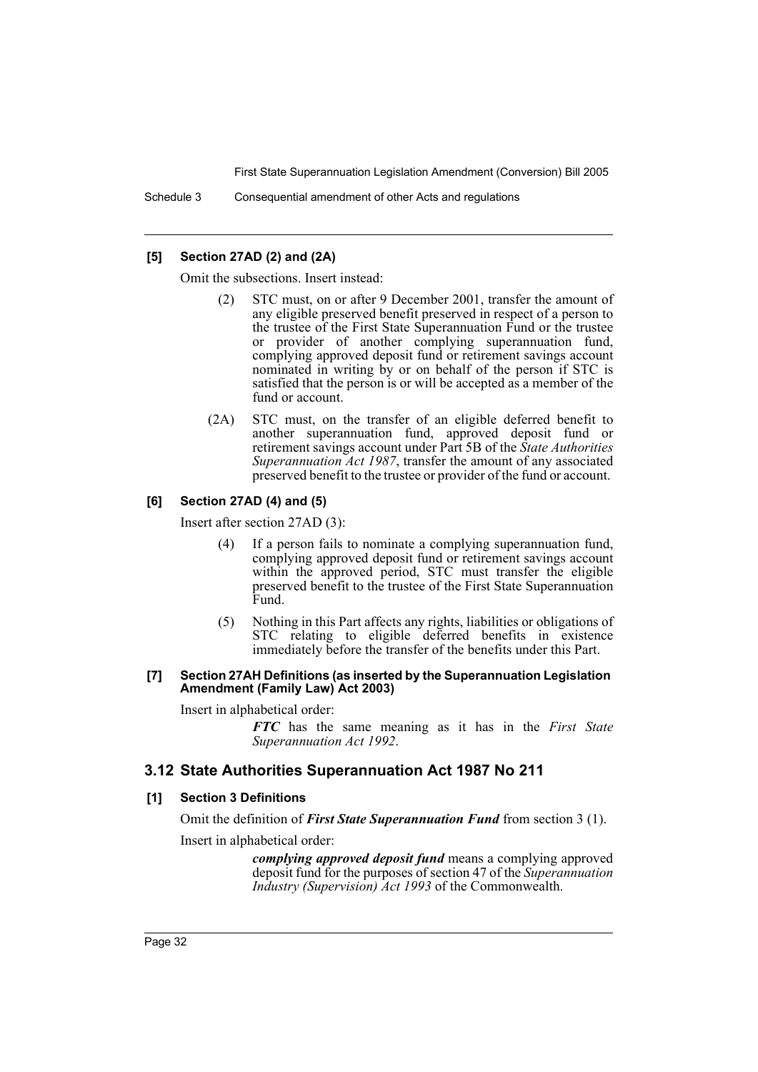## **[5] Section 27AD (2) and (2A)**

Omit the subsections. Insert instead:

- (2) STC must, on or after 9 December 2001, transfer the amount of any eligible preserved benefit preserved in respect of a person to the trustee of the First State Superannuation Fund or the trustee or provider of another complying superannuation fund, complying approved deposit fund or retirement savings account nominated in writing by or on behalf of the person if STC is satisfied that the person is or will be accepted as a member of the fund or account.
- (2A) STC must, on the transfer of an eligible deferred benefit to another superannuation fund, approved deposit fund or retirement savings account under Part 5B of the *State Authorities Superannuation Act 1987*, transfer the amount of any associated preserved benefit to the trustee or provider of the fund or account.

# **[6] Section 27AD (4) and (5)**

Insert after section 27AD (3):

- (4) If a person fails to nominate a complying superannuation fund, complying approved deposit fund or retirement savings account within the approved period, STC must transfer the eligible preserved benefit to the trustee of the First State Superannuation Fund.
- (5) Nothing in this Part affects any rights, liabilities or obligations of STC relating to eligible deferred benefits in existence immediately before the transfer of the benefits under this Part.

#### **[7] Section 27AH Definitions (as inserted by the Superannuation Legislation Amendment (Family Law) Act 2003)**

Insert in alphabetical order:

*FTC* has the same meaning as it has in the *First State Superannuation Act 1992*.

# **3.12 State Authorities Superannuation Act 1987 No 211**

#### **[1] Section 3 Definitions**

Omit the definition of *First State Superannuation Fund* from section 3 (1).

Insert in alphabetical order:

*complying approved deposit fund* means a complying approved deposit fund for the purposes of section 47 of the *Superannuation Industry (Supervision) Act 1993* of the Commonwealth.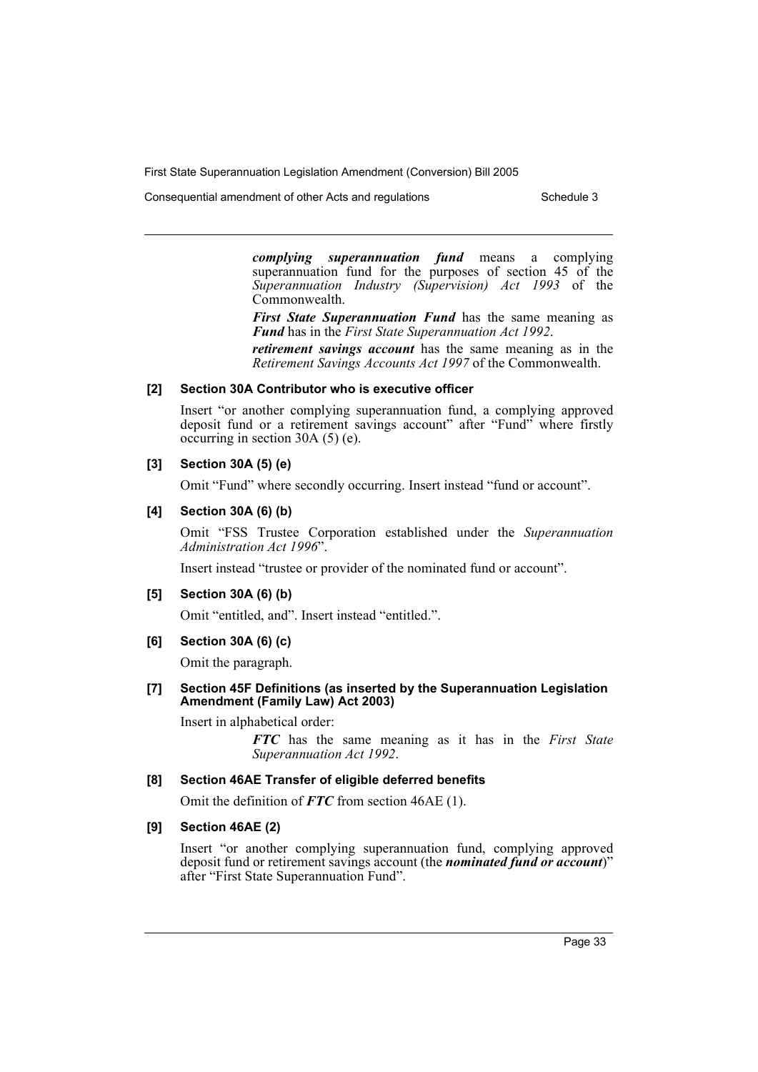Consequential amendment of other Acts and regulations Schedule 3

*complying superannuation fund* means a complying superannuation fund for the purposes of section 45 of the *Superannuation Industry (Supervision) Act 1993* of the Commonwealth.

*First State Superannuation Fund* has the same meaning as *Fund* has in the *First State Superannuation Act 1992*.

*retirement savings account* has the same meaning as in the *Retirement Savings Accounts Act 1997* of the Commonwealth.

## **[2] Section 30A Contributor who is executive officer**

Insert "or another complying superannuation fund, a complying approved deposit fund or a retirement savings account" after "Fund" where firstly occurring in section 30A (5) (e).

## **[3] Section 30A (5) (e)**

Omit "Fund" where secondly occurring. Insert instead "fund or account".

## **[4] Section 30A (6) (b)**

Omit "FSS Trustee Corporation established under the *Superannuation Administration Act 1996*".

Insert instead "trustee or provider of the nominated fund or account".

#### **[5] Section 30A (6) (b)**

Omit "entitled, and". Insert instead "entitled.".

**[6] Section 30A (6) (c)**

Omit the paragraph.

**[7] Section 45F Definitions (as inserted by the Superannuation Legislation Amendment (Family Law) Act 2003)**

Insert in alphabetical order:

*FTC* has the same meaning as it has in the *First State Superannuation Act 1992*.

#### **[8] Section 46AE Transfer of eligible deferred benefits**

Omit the definition of *FTC* from section 46AE (1).

# **[9] Section 46AE (2)**

Insert "or another complying superannuation fund, complying approved deposit fund or retirement savings account (the *nominated fund or account*)" after "First State Superannuation Fund".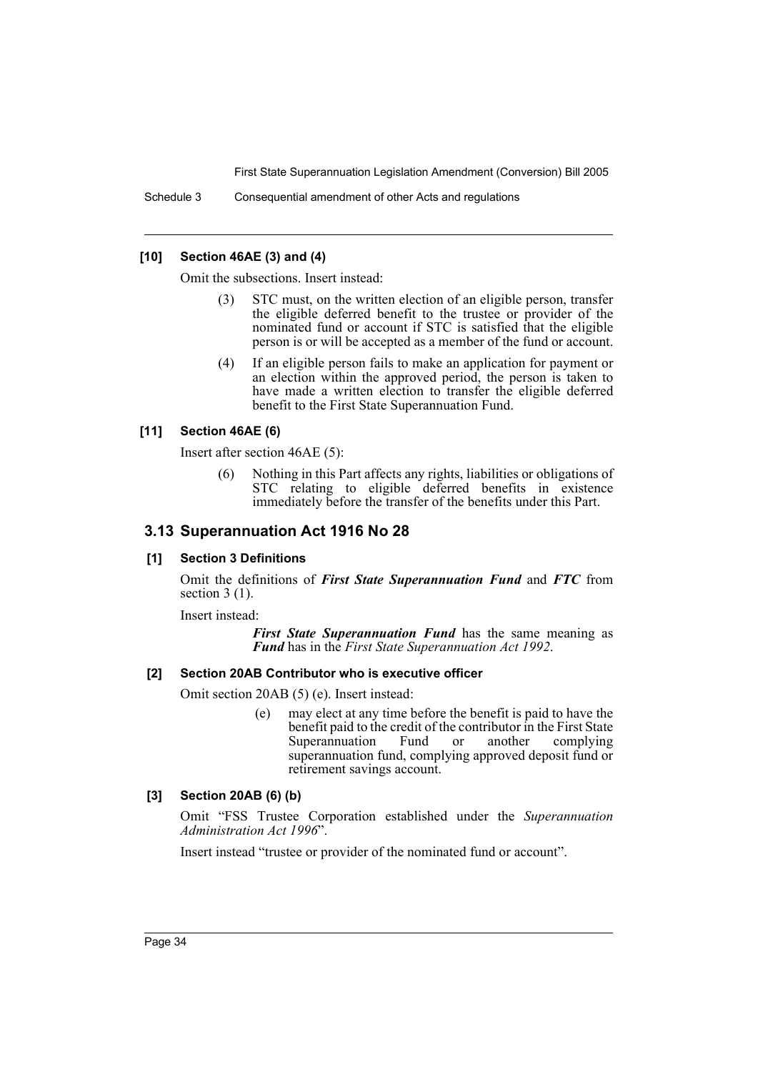Schedule 3 Consequential amendment of other Acts and regulations

## **[10] Section 46AE (3) and (4)**

Omit the subsections. Insert instead:

- (3) STC must, on the written election of an eligible person, transfer the eligible deferred benefit to the trustee or provider of the nominated fund or account if STC is satisfied that the eligible person is or will be accepted as a member of the fund or account.
- (4) If an eligible person fails to make an application for payment or an election within the approved period, the person is taken to have made a written election to transfer the eligible deferred benefit to the First State Superannuation Fund.

## **[11] Section 46AE (6)**

Insert after section 46AE (5):

(6) Nothing in this Part affects any rights, liabilities or obligations of STC relating to eligible deferred benefits in existence immediately before the transfer of the benefits under this Part.

# **3.13 Superannuation Act 1916 No 28**

#### **[1] Section 3 Definitions**

Omit the definitions of *First State Superannuation Fund* and *FTC* from section 3 (1).

Insert instead:

*First State Superannuation Fund* has the same meaning as *Fund* has in the *First State Superannuation Act 1992*.

#### **[2] Section 20AB Contributor who is executive officer**

Omit section 20AB (5) (e). Insert instead:

(e) may elect at any time before the benefit is paid to have the benefit paid to the credit of the contributor in the First State<br>Superannuation Fund or another complying Superannuation Fund or another superannuation fund, complying approved deposit fund or retirement savings account.

# **[3] Section 20AB (6) (b)**

Omit "FSS Trustee Corporation established under the *Superannuation Administration Act 1996*".

Insert instead "trustee or provider of the nominated fund or account".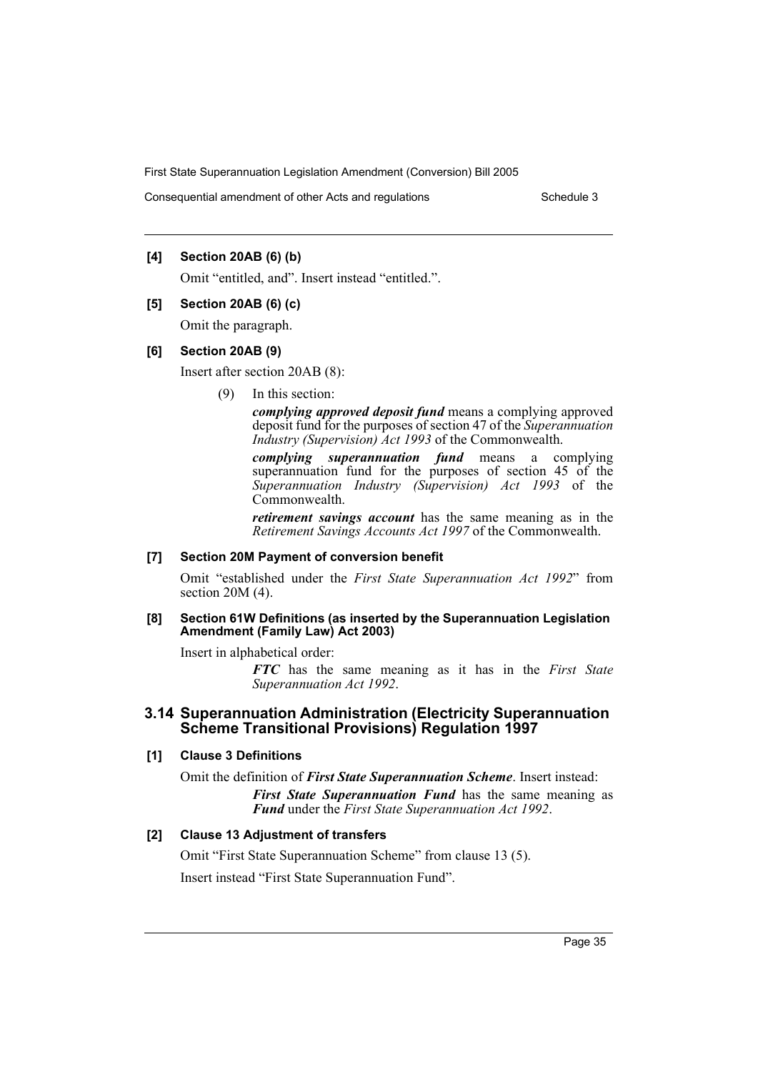Consequential amendment of other Acts and regulations Schedule 3

# **[4] Section 20AB (6) (b)**

Omit "entitled, and". Insert instead "entitled.".

#### **[5] Section 20AB (6) (c)**

Omit the paragraph.

## **[6] Section 20AB (9)**

Insert after section 20AB (8):

(9) In this section:

*complying approved deposit fund* means a complying approved deposit fund for the purposes of section 47 of the *Superannuation Industry (Supervision) Act 1993* of the Commonwealth.

*complying superannuation fund* means a complying superannuation fund for the purposes of section 45 of the *Superannuation Industry (Supervision) Act 1993* of the Commonwealth.

*retirement savings account* has the same meaning as in the *Retirement Savings Accounts Act 1997* of the Commonwealth.

# **[7] Section 20M Payment of conversion benefit**

Omit "established under the *First State Superannuation Act 1992*" from section 20M (4).

## **[8] Section 61W Definitions (as inserted by the Superannuation Legislation Amendment (Family Law) Act 2003)**

Insert in alphabetical order:

*FTC* has the same meaning as it has in the *First State Superannuation Act 1992*.

# **3.14 Superannuation Administration (Electricity Superannuation Scheme Transitional Provisions) Regulation 1997**

# **[1] Clause 3 Definitions**

Omit the definition of *First State Superannuation Scheme*. Insert instead: *First State Superannuation Fund* has the same meaning as *Fund* under the *First State Superannuation Act 1992*.

# **[2] Clause 13 Adjustment of transfers**

Omit "First State Superannuation Scheme" from clause 13 (5). Insert instead "First State Superannuation Fund".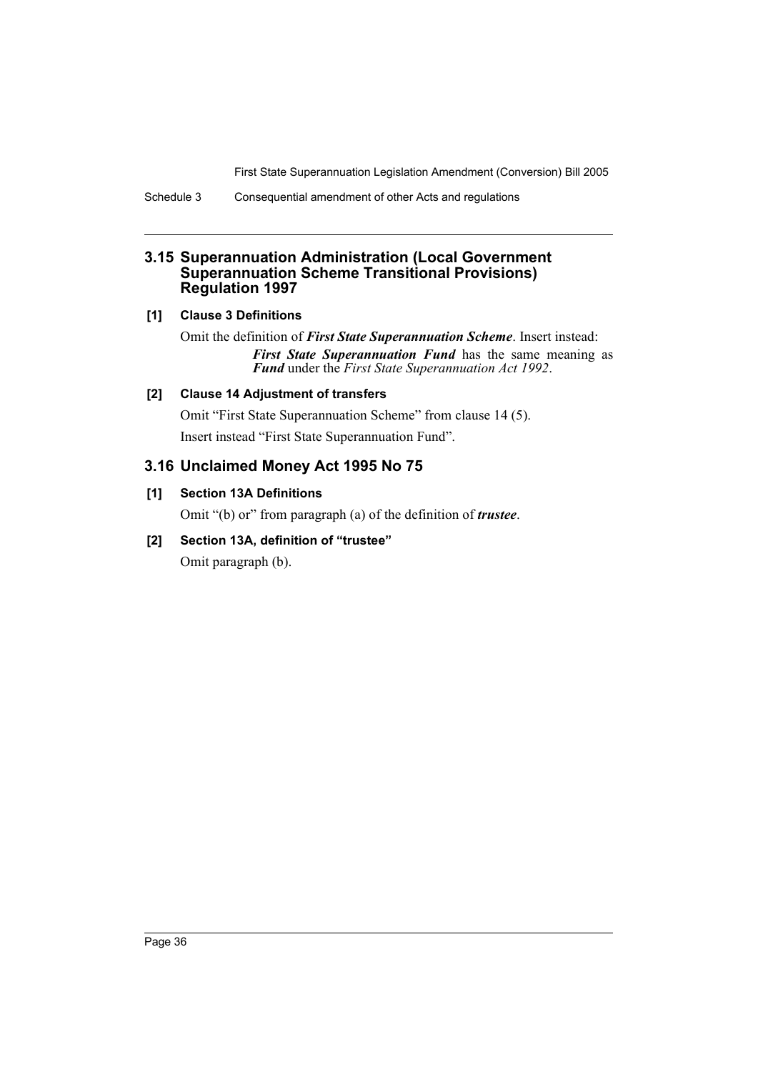Schedule 3 Consequential amendment of other Acts and regulations

# **3.15 Superannuation Administration (Local Government Superannuation Scheme Transitional Provisions) Regulation 1997**

# **[1] Clause 3 Definitions**

Omit the definition of *First State Superannuation Scheme*. Insert instead: *First State Superannuation Fund* has the same meaning as *Fund* under the *First State Superannuation Act 1992*.

# **[2] Clause 14 Adjustment of transfers**

Omit "First State Superannuation Scheme" from clause 14 (5). Insert instead "First State Superannuation Fund".

# **3.16 Unclaimed Money Act 1995 No 75**

# **[1] Section 13A Definitions**

Omit "(b) or" from paragraph (a) of the definition of *trustee*.

# **[2] Section 13A, definition of "trustee"**

Omit paragraph (b).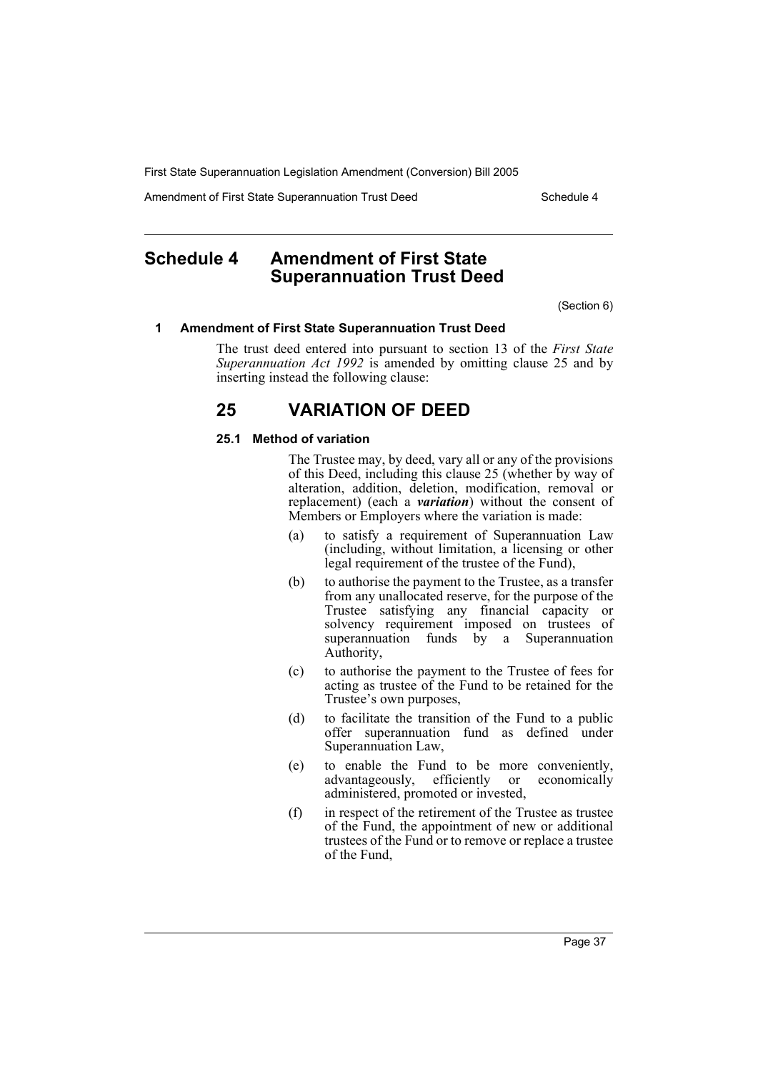Amendment of First State Superannuation Trust Deed Schedule 4

# **Schedule 4 Amendment of First State Superannuation Trust Deed**

(Section 6)

#### **1 Amendment of First State Superannuation Trust Deed**

The trust deed entered into pursuant to section 13 of the *First State* Superannuation Act 1992 is amended by omitting clause 25 and by inserting instead the following clause:

# **25 VARIATION OF DEED**

#### **25.1 Method of variation**

The Trustee may, by deed, vary all or any of the provisions of this Deed, including this clause 25 (whether by way of alteration, addition, deletion, modification, removal or replacement) (each a *variation*) without the consent of Members or Employers where the variation is made:

- (a) to satisfy a requirement of Superannuation Law (including, without limitation, a licensing or other legal requirement of the trustee of the Fund),
- (b) to authorise the payment to the Trustee, as a transfer from any unallocated reserve, for the purpose of the Trustee satisfying any financial capacity or solvency requirement imposed on trustees of superannuation funds by a Superannuation Authority,
- (c) to authorise the payment to the Trustee of fees for acting as trustee of the Fund to be retained for the Trustee's own purposes,
- (d) to facilitate the transition of the Fund to a public offer superannuation fund as defined under Superannuation Law,
- (e) to enable the Fund to be more conveniently, advantageously, efficiently or administered, promoted or invested,
- (f) in respect of the retirement of the Trustee as trustee of the Fund, the appointment of new or additional trustees of the Fund or to remove or replace a trustee of the Fund,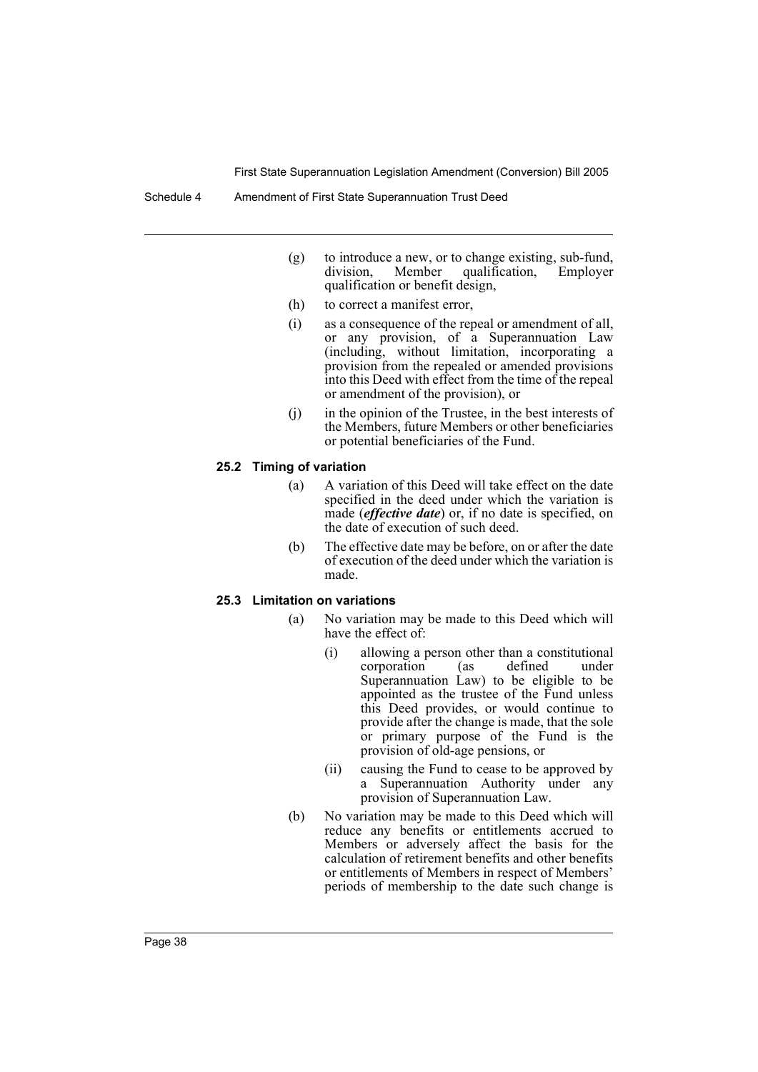Schedule 4 Amendment of First State Superannuation Trust Deed

- (g) to introduce a new, or to change existing, sub-fund, division, Member qualification, Employer division, Member qualification, qualification or benefit design,
- (h) to correct a manifest error,
- (i) as a consequence of the repeal or amendment of all, or any provision, of a Superannuation Law (including, without limitation, incorporating a provision from the repealed or amended provisions into this Deed with effect from the time of the repeal or amendment of the provision), or
- (j) in the opinion of the Trustee, in the best interests of the Members, future Members or other beneficiaries or potential beneficiaries of the Fund.

#### **25.2 Timing of variation**

- (a) A variation of this Deed will take effect on the date specified in the deed under which the variation is made (*effective date*) or, if no date is specified, on the date of execution of such deed.
- (b) The effective date may be before, on or after the date of execution of the deed under which the variation is made.

#### **25.3 Limitation on variations**

- (a) No variation may be made to this Deed which will have the effect of:
	- (i) allowing a person other than a constitutional<br>corporation (as defined under corporation (as defined under Superannuation Law) to be eligible to be appointed as the trustee of the Fund unless this Deed provides, or would continue to provide after the change is made, that the sole or primary purpose of the Fund is the provision of old-age pensions, or
	- (ii) causing the Fund to cease to be approved by a Superannuation Authority under any provision of Superannuation Law.
- (b) No variation may be made to this Deed which will reduce any benefits or entitlements accrued to Members or adversely affect the basis for the calculation of retirement benefits and other benefits or entitlements of Members in respect of Members' periods of membership to the date such change is